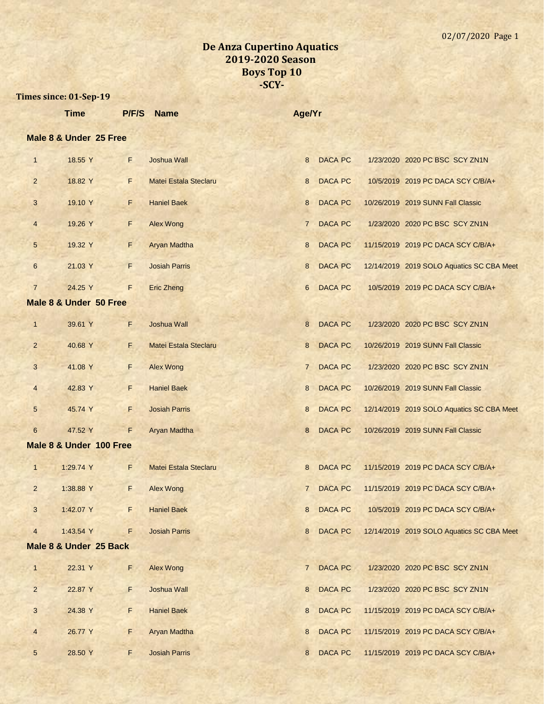|                | <b>Time</b>             | P/F/S | <b>Name</b>           | Age/Yr          |                |                                           |
|----------------|-------------------------|-------|-----------------------|-----------------|----------------|-------------------------------------------|
|                | Male 8 & Under 25 Free  |       |                       |                 |                |                                           |
| $\mathbf{1}$   | 18.55 Y                 | F     | Joshua Wall           | 8               | <b>DACA PC</b> | 1/23/2020 2020 PC BSC SCY ZN1N            |
| $\overline{2}$ | 18.82 Y                 | F     | Matei Estala Steclaru | 8               | <b>DACA PC</b> | 10/5/2019 2019 PC DACA SCY C/B/A+         |
| $\mathbf{3}$   | 19.10 Y                 | F.    | <b>Haniel Baek</b>    | 8               | <b>DACA PC</b> | 10/26/2019 2019 SUNN Fall Classic         |
| $\overline{4}$ | 19.26 Y                 | F     | <b>Alex Wong</b>      | $\overline{7}$  | <b>DACA PC</b> | 1/23/2020 2020 PC BSC SCY ZN1N            |
| $\sqrt{5}$     | 19.32 Y                 | F     | <b>Aryan Madtha</b>   | 8               | <b>DACA PC</b> | 11/15/2019 2019 PC DACA SCY C/B/A+        |
| $6\phantom{1}$ | 21.03 Y                 | F.    | <b>Josiah Parris</b>  | 8               | <b>DACA PC</b> | 12/14/2019 2019 SOLO Aquatics SC CBA Meet |
| $\overline{7}$ | 24.25 Y                 | F     | <b>Eric Zheng</b>     | $6\overline{6}$ | <b>DACA PC</b> | 10/5/2019 2019 PC DACA SCY C/B/A+         |
|                | Male 8 & Under 50 Free  |       |                       |                 |                |                                           |
| $\mathbf{1}$   | 39.61 Y                 | F     | Joshua Wall           | 8               | <b>DACA PC</b> | 1/23/2020 2020 PC BSC SCY ZN1N            |
| $\overline{2}$ | 40.68 Y                 | E.    | Matei Estala Steclaru | 8               | <b>DACA PC</b> | 10/26/2019 2019 SUNN Fall Classic         |
| 3              | 41.08 Y                 | F.    | <b>Alex Wong</b>      | $7^{\circ}$     | <b>DACA PC</b> | 1/23/2020 2020 PC BSC SCY ZN1N            |
| $\overline{4}$ | 42.83 Y                 | F.    | <b>Haniel Baek</b>    | 8               | <b>DACA PC</b> | 10/26/2019 2019 SUNN Fall Classic         |
| $\sqrt{5}$     | 45.74 Y                 | F.    | <b>Josiah Parris</b>  | 8               | <b>DACA PC</b> | 12/14/2019 2019 SOLO Aquatics SC CBA Meet |
| $6\phantom{1}$ | 47.52 Y                 | F     | Aryan Madtha          | 8               | <b>DACA PC</b> | 10/26/2019 2019 SUNN Fall Classic         |
|                | Male 8 & Under 100 Free |       |                       |                 |                |                                           |
| $\mathbf{1}$   | 1:29.74 Y               | F     | Matei Estala Steclaru | 8               | <b>DACA PC</b> | 11/15/2019 2019 PC DACA SCY C/B/A+        |
| $\overline{2}$ | 1:38.88 Y               | F     | <b>Alex Wong</b>      | $7^{\circ}$     | <b>DACA PC</b> | 11/15/2019 2019 PC DACA SCY C/B/A+        |
| 3              | 1:42.07 Y               | F     | <b>Haniel Baek</b>    | 8               | <b>DACA PC</b> | 10/5/2019 2019 PC DACA SCY C/B/A+         |
| $\overline{4}$ | 1:43.54 Y               | F     | <b>Josiah Parris</b>  | 8               | DACA PC        | 12/14/2019 2019 SOLO Aquatics SC CBA Meet |
|                | Male 8 & Under 25 Back  |       |                       |                 |                |                                           |
| $\mathbf{1}$   | 22.31 Y                 | F.    | <b>Alex Wong</b>      | $7^{\circ}$     | <b>DACA PC</b> | 1/23/2020 2020 PC BSC SCY ZN1N            |
| $\overline{2}$ | 22.87 Y                 | F     | <b>Joshua Wall</b>    | 8               | <b>DACA PC</b> | 1/23/2020 2020 PC BSC SCY ZN1N            |
| 3              | 24.38 Y                 | F     | <b>Haniel Baek</b>    | 8               | <b>DACA PC</b> | 11/15/2019 2019 PC DACA SCY C/B/A+        |
| $\overline{4}$ | 26.77 Y                 | F.    | Aryan Madtha          | 8               | DACA PC        | 11/15/2019 2019 PC DACA SCY C/B/A+        |
| $\sqrt{5}$     | 28.50 Y                 | F.    | <b>Josiah Parris</b>  | 8               | DACA PC        | 11/15/2019 2019 PC DACA SCY C/B/A+        |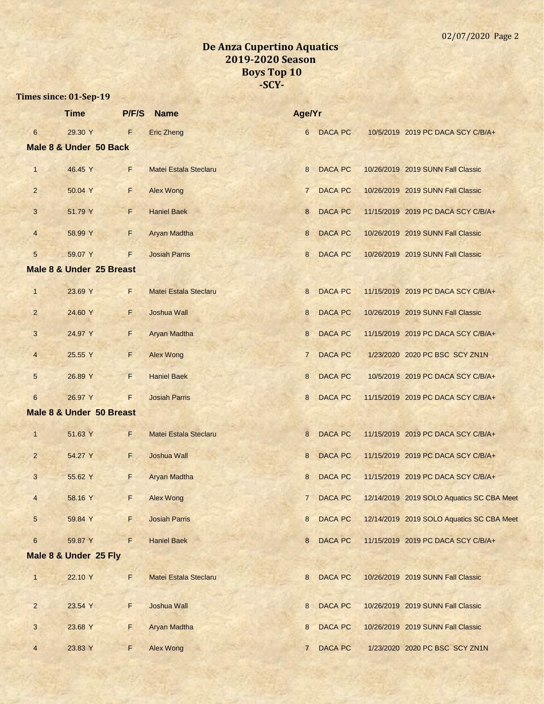|                 | <b>Time</b>                         | P/F/S | <b>Name</b>                  | Age/Yr          |                |                                           |
|-----------------|-------------------------------------|-------|------------------------------|-----------------|----------------|-------------------------------------------|
| $6\phantom{1}6$ | 29.30 Y                             | F     | <b>Eric Zheng</b>            | 6               | <b>DACA PC</b> | 10/5/2019 2019 PC DACA SCY C/B/A+         |
|                 | Male 8 & Under 50 Back              |       |                              |                 |                |                                           |
| $\mathbf{1}$    | 46.45 Y                             | F     | <b>Matei Estala Steclaru</b> | 8               | <b>DACA PC</b> | 10/26/2019 2019 SUNN Fall Classic         |
| $\overline{2}$  | 50.04 Y                             | F.    | <b>Alex Wong</b>             | $\overline{7}$  | <b>DACA PC</b> | 10/26/2019 2019 SUNN Fall Classic         |
| 3               | 51.79 Y                             | F     | <b>Haniel Baek</b>           | 8               | <b>DACA PC</b> | 11/15/2019 2019 PC DACA SCY C/B/A+        |
| $\overline{4}$  | 58.99 Y                             | F     | Aryan Madtha                 | 8               | <b>DACA PC</b> | 10/26/2019 2019 SUNN Fall Classic         |
| 5               | 59.07 Y                             | F     | <b>Josiah Parris</b>         | 8               | <b>DACA PC</b> | 10/26/2019 2019 SUNN Fall Classic         |
|                 | Male 8 & Under 25 Breast            |       |                              |                 |                |                                           |
| $\mathbf{1}$    | 23.69 Y                             | F     | <b>Matei Estala Steclaru</b> | 8               | <b>DACA PC</b> | 11/15/2019 2019 PC DACA SCY C/B/A+        |
| $\overline{2}$  | 24.60 Y                             | F.    | <b>Joshua Wall</b>           | 8               | <b>DACA PC</b> | 10/26/2019 2019 SUNN Fall Classic         |
| 3               | 24.97 Y                             | F     | Aryan Madtha                 | 8               | <b>DACA PC</b> | 11/15/2019 2019 PC DACA SCY C/B/A+        |
| $\overline{4}$  | 25.55 Y                             | F     | <b>Alex Wong</b>             | $\overline{7}$  | <b>DACA PC</b> | 1/23/2020 2020 PC BSC SCY ZN1N            |
| 5               | 26.89 Y                             | F.    | <b>Haniel Baek</b>           | 8               | <b>DACA PC</b> | 10/5/2019 2019 PC DACA SCY C/B/A+         |
| $6\phantom{1}6$ | 26.97 Y                             | F     | <b>Josiah Parris</b>         | 8               | <b>DACA PC</b> | 11/15/2019 2019 PC DACA SCY C/B/A+        |
|                 | <b>Male 8 &amp; Under 50 Breast</b> |       |                              |                 |                |                                           |
| $\mathbf{1}$    | 51.63 Y                             | F     | Matei Estala Steclaru        | 8               | <b>DACA PC</b> | 11/15/2019 2019 PC DACA SCY C/B/A+        |
| $\overline{2}$  | 54.27 Y                             | F.    | <b>Joshua Wall</b>           | 8               | <b>DACA PC</b> | 11/15/2019 2019 PC DACA SCY C/B/A+        |
| 3               | 55.62 Y                             | F     | Aryan Madtha                 | 8               | <b>DACA PC</b> | 11/15/2019 2019 PC DACA SCY C/B/A+        |
| $\overline{4}$  | 58.16 Y                             | F     | <b>Alex Wong</b>             | $7\overline{ }$ | <b>DACA PC</b> | 12/14/2019 2019 SOLO Aquatics SC CBA Meet |
| $5\overline{)}$ | 59.84 Y                             | F.    | <b>Josiah Parris</b>         | 8               | DACA PC        | 12/14/2019 2019 SOLO Aquatics SC CBA Meet |
| $6\phantom{1}6$ | 59.87 Y                             | F     | <b>Haniel Baek</b>           | 8               | <b>DACA PC</b> | 11/15/2019 2019 PC DACA SCY C/B/A+        |
|                 | Male 8 & Under 25 Fly               |       |                              |                 |                |                                           |
| $\mathbf{1}$    | 22.10 Y                             | F     | Matei Estala Steclaru        | 8               | <b>DACA PC</b> | 10/26/2019 2019 SUNN Fall Classic         |
| $\overline{2}$  | 23.54 Y                             | F.    | Joshua Wall                  | 8               | <b>DACA PC</b> | 10/26/2019 2019 SUNN Fall Classic         |
| 3               | 23.68 Y                             | F.    | Aryan Madtha                 | 8               | <b>DACA PC</b> | 10/26/2019 2019 SUNN Fall Classic         |
| $\overline{4}$  | 23.83 Y                             | F     | <b>Alex Wong</b>             | $\overline{7}$  | DACA PC        | 1/23/2020 2020 PC BSC SCY ZN1N            |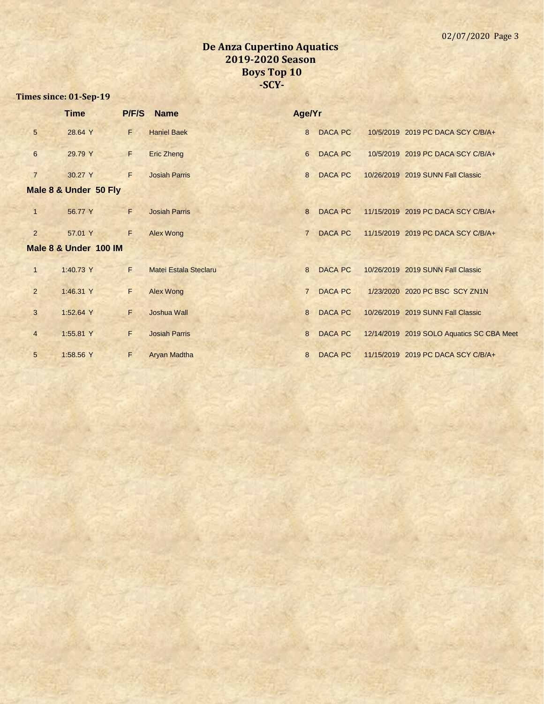|                 | <b>Time</b>           | <b>P/F/S</b> | <b>Name</b>           | Age/Yr         |                |                                           |
|-----------------|-----------------------|--------------|-----------------------|----------------|----------------|-------------------------------------------|
| $5\phantom{.0}$ | 28.64 Y               | F.           | <b>Haniel Baek</b>    |                | 8 DACA PC      | 10/5/2019 2019 PC DACA SCY C/B/A+         |
| 6               | 29.79 Y               | F            | Eric Zheng            | 6              | DACA PC        | 10/5/2019 2019 PC DACA SCY C/B/A+         |
| $\overline{7}$  | 30.27 Y               | F            | <b>Josiah Parris</b>  | 8              | <b>DACA PC</b> | 10/26/2019 2019 SUNN Fall Classic         |
|                 | Male 8 & Under 50 Fly |              |                       |                |                |                                           |
| 1               | 56.77 Y               | F.           | <b>Josiah Parris</b>  | 8              | DACA PC        | 11/15/2019 2019 PC DACA SCY C/B/A+        |
| $\overline{2}$  | 57.01 Y               | F            | Alex Wong             | $7^{\circ}$    | <b>DACA PC</b> | 11/15/2019 2019 PC DACA SCY C/B/A+        |
|                 | Male 8 & Under 100 IM |              |                       |                |                |                                           |
| $\mathbf{1}$    | 1:40.73 Y             | F.           | Matei Estala Steclaru |                | 8 DACA PC      | 10/26/2019 2019 SUNN Fall Classic         |
| $\overline{2}$  | 1:46.31 Y             | F            | <b>Alex Wong</b>      | $\overline{7}$ | <b>DACA PC</b> | 1/23/2020 2020 PC BSC SCY ZN1N            |
| 3               | 1:52.64 Y             | F.           | <b>Joshua Wall</b>    | 8              | <b>DACA PC</b> | 10/26/2019 2019 SUNN Fall Classic         |
| $\overline{4}$  | 1:55.81 Y             | F.           | <b>Josiah Parris</b>  | 8              | DACA PC        | 12/14/2019 2019 SOLO Aquatics SC CBA Meet |
| 5               | 1:58.56 Y             | F.           | <b>Aryan Madtha</b>   | 8              | DACA PC        | 11/15/2019 2019 PC DACA SCY C/B/A+        |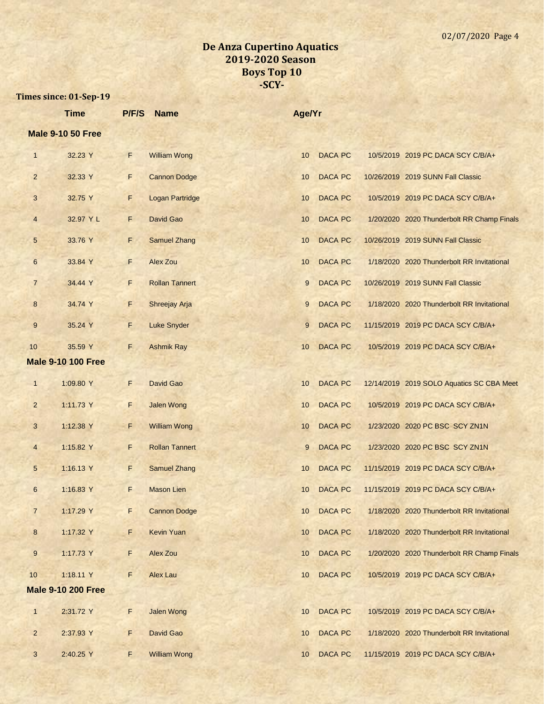|                  | <b>Time</b>               | P/F/S | <b>Name</b>            | Age/Yr |                |                                            |
|------------------|---------------------------|-------|------------------------|--------|----------------|--------------------------------------------|
|                  | <b>Male 9-10 50 Free</b>  |       |                        |        |                |                                            |
| $\mathbf{1}$     | 32.23 Y                   | F     | <b>William Wong</b>    | 10     | <b>DACA PC</b> | 10/5/2019 2019 PC DACA SCY C/B/A+          |
| $\overline{2}$   | 32.33 Y                   | F     | <b>Cannon Dodge</b>    | 10     | <b>DACA PC</b> | 10/26/2019 2019 SUNN Fall Classic          |
| 3                | 32.75 Y                   | F     | <b>Logan Partridge</b> | 10     | <b>DACA PC</b> | 10/5/2019 2019 PC DACA SCY C/B/A+          |
| $\overline{4}$   | 32.97 Y L                 | F     | David Gao              | 10     | <b>DACA PC</b> | 1/20/2020 2020 Thunderbolt RR Champ Finals |
| 5                | 33.76 Y                   | F     | <b>Samuel Zhang</b>    | 10     | <b>DACA PC</b> | 10/26/2019 2019 SUNN Fall Classic          |
| $6\phantom{.}6$  | 33.84 Y                   | F     | <b>Alex Zou</b>        | 10     | <b>DACA PC</b> | 1/18/2020 2020 Thunderbolt RR Invitational |
| $\overline{7}$   | 34.44 Y                   | F     | <b>Rollan Tannert</b>  | 9      | <b>DACA PC</b> | 10/26/2019 2019 SUNN Fall Classic          |
| 8                | 34.74 Y                   | F     | Shreejay Arja          | 9      | <b>DACA PC</b> | 1/18/2020 2020 Thunderbolt RR Invitational |
| 9                | 35.24 Y                   | F.    | <b>Luke Snyder</b>     | 9      | <b>DACA PC</b> | 11/15/2019 2019 PC DACA SCY C/B/A+         |
| 10               | 35.59 Y                   | F.    | <b>Ashmik Ray</b>      | 10     | <b>DACA PC</b> | 10/5/2019 2019 PC DACA SCY C/B/A+          |
|                  | <b>Male 9-10 100 Free</b> |       |                        |        |                |                                            |
| $\mathbf{1}$     | 1:09.80 Y                 | F     | David Gao              | 10     | <b>DACA PC</b> | 12/14/2019 2019 SOLO Aquatics SC CBA Meet  |
| $\overline{2}$   | 1:11.73 Y                 | F     | <b>Jalen Wong</b>      | 10     | <b>DACA PC</b> | 10/5/2019 2019 PC DACA SCY C/B/A+          |
| 3                | 1:12.38 Y                 | F     | <b>William Wong</b>    | 10     | <b>DACA PC</b> | 1/23/2020 2020 PC BSC SCY ZN1N             |
| $\overline{4}$   | 1:15.82 Y                 | F     | <b>Rollan Tannert</b>  | 9      | <b>DACA PC</b> | 1/23/2020 2020 PC BSC SCY ZN1N             |
| 5                | 1:16.13 Y                 | F.    | <b>Samuel Zhang</b>    | 10     | <b>DACA PC</b> | 11/15/2019 2019 PC DACA SCY C/B/A+         |
| $\,6$            | 1:16.83 Y                 | F.    | <b>Mason Lien</b>      | 10     | <b>DACA PC</b> | 11/15/2019 2019 PC DACA SCY C/B/A+         |
| $\overline{7}$   | 1:17.29 Y                 | F.    | <b>Cannon Dodge</b>    | 10     | <b>DACA PC</b> | 1/18/2020 2020 Thunderbolt RR Invitational |
| $\boldsymbol{8}$ | 1:17.32 Y                 | F     | Kevin Yuan             | 10     | DACA PC        | 1/18/2020 2020 Thunderbolt RR Invitational |
| $\boldsymbol{9}$ | 1:17.73 Y                 | F     | Alex Zou               | 10     | DACA PC        | 1/20/2020 2020 Thunderbolt RR Champ Finals |
| 10               | 1:18.11 Y                 | F     | Alex Lau               | 10     | <b>DACA PC</b> | 10/5/2019 2019 PC DACA SCY C/B/A+          |
|                  | <b>Male 9-10 200 Free</b> |       |                        |        |                |                                            |
| $\mathbf{1}$     | 2:31.72 Y                 | F     | <b>Jalen Wong</b>      | 10     | <b>DACA PC</b> | 10/5/2019 2019 PC DACA SCY C/B/A+          |
| $\overline{2}$   | 2:37.93 Y                 | F     | David Gao              | 10     | <b>DACA PC</b> | 1/18/2020 2020 Thunderbolt RR Invitational |
| 3                | 2:40.25 Y                 | F.    | <b>William Wong</b>    | 10     | DACA PC        | 11/15/2019 2019 PC DACA SCY C/B/A+         |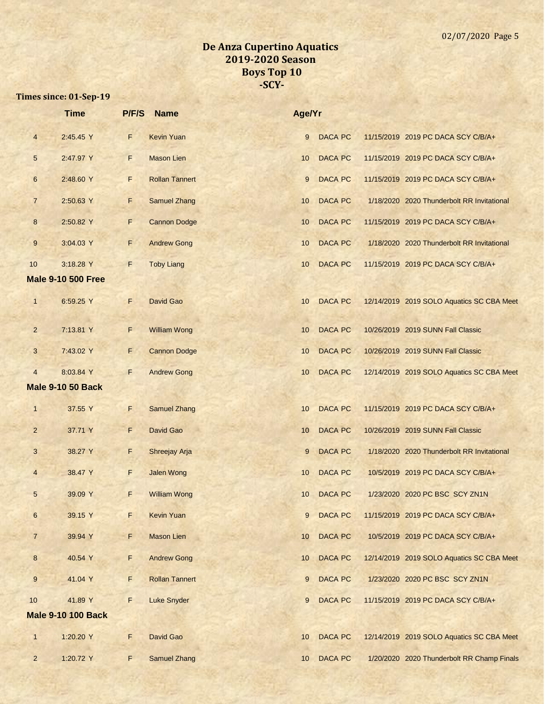|                 | <b>Time</b>               | P/F/S | <b>Name</b>           | Age/Yr |                |                                            |
|-----------------|---------------------------|-------|-----------------------|--------|----------------|--------------------------------------------|
| $\overline{4}$  | 2:45.45 Y                 | F     | <b>Kevin Yuan</b>     | 9      | <b>DACA PC</b> | 11/15/2019 2019 PC DACA SCY C/B/A+         |
| $\sqrt{5}$      | 2:47.97 Y                 | F.    | <b>Mason Lien</b>     | 10     | <b>DACA PC</b> | 11/15/2019 2019 PC DACA SCY C/B/A+         |
| $6\phantom{1}6$ | 2:48.60 Y                 | F     | <b>Rollan Tannert</b> | 9      | <b>DACA PC</b> | 11/15/2019 2019 PC DACA SCY C/B/A+         |
| $\overline{7}$  | 2:50.63 Y                 | F     | <b>Samuel Zhang</b>   | 10     | <b>DACA PC</b> | 1/18/2020 2020 Thunderbolt RR Invitational |
| 8               | 2:50.82 Y                 | F     | <b>Cannon Dodge</b>   | 10     | <b>DACA PC</b> | 11/15/2019 2019 PC DACA SCY C/B/A+         |
| $\overline{9}$  | 3:04.03 Y                 | F.    | <b>Andrew Gong</b>    | 10     | <b>DACA PC</b> | 1/18/2020 2020 Thunderbolt RR Invitational |
| 10              | 3:18.28 Y                 | F     | <b>Toby Liang</b>     | 10     | <b>DACA PC</b> | 11/15/2019 2019 PC DACA SCY C/B/A+         |
|                 | <b>Male 9-10 500 Free</b> |       |                       |        |                |                                            |
| $\mathbf{1}$    | 6:59.25 Y                 | F     | David Gao             | 10     | <b>DACA PC</b> | 12/14/2019 2019 SOLO Aquatics SC CBA Meet  |
| $\overline{2}$  | 7:13.81 Y                 | F     | <b>William Wong</b>   | 10     | <b>DACA PC</b> | 10/26/2019 2019 SUNN Fall Classic          |
| 3               | 7:43.02 Y                 | F     | <b>Cannon Dodge</b>   | 10     | <b>DACA PC</b> | 10/26/2019 2019 SUNN Fall Classic          |
| $\overline{4}$  | 8:03.84 Y                 | F     | <b>Andrew Gong</b>    | 10     | <b>DACA PC</b> | 12/14/2019 2019 SOLO Aquatics SC CBA Meet  |
|                 | <b>Male 9-10 50 Back</b>  |       |                       |        |                |                                            |
| $\mathbf{1}$    | 37.55 Y                   | F     | <b>Samuel Zhang</b>   | 10     | <b>DACA PC</b> | 11/15/2019 2019 PC DACA SCY C/B/A+         |
| $\overline{2}$  | 37.71 Y                   | F     | <b>David Gao</b>      | 10     | <b>DACA PC</b> | 10/26/2019 2019 SUNN Fall Classic          |
| 3               | 38.27 Y                   | F     | Shreejay Arja         | 9      | DACA PC        | 1/18/2020 2020 Thunderbolt RR Invitational |
| $\overline{4}$  | 38.47 Y                   | F     | <b>Jalen Wong</b>     | 10     | <b>DACA PC</b> | 10/5/2019 2019 PC DACA SCY C/B/A+          |
| 5               | 39.09 Y                   | F     | <b>William Wong</b>   | 10     | <b>DACA PC</b> | 1/23/2020 2020 PC BSC SCY ZN1N             |
| $6\phantom{a}$  | 39.15 Y                   | F     | <b>Kevin Yuan</b>     | 9      | <b>DACA PC</b> | 11/15/2019 2019 PC DACA SCY C/B/A+         |
| $\overline{7}$  | 39.94 Y                   | F     | <b>Mason Lien</b>     | 10     | <b>DACA PC</b> | 10/5/2019 2019 PC DACA SCY C/B/A+          |
| $\bf{8}$        | 40.54 Y                   | F     | <b>Andrew Gong</b>    | 10     | DACA PC        | 12/14/2019 2019 SOLO Aquatics SC CBA Meet  |
| 9               | 41.04 Y                   | F     | <b>Rollan Tannert</b> | 9      | <b>DACA PC</b> | 1/23/2020 2020 PC BSC SCY ZN1N             |
| 10              | 41.89 Y                   | F     | <b>Luke Snyder</b>    | 9      | <b>DACA PC</b> | 11/15/2019 2019 PC DACA SCY C/B/A+         |
|                 | <b>Male 9-10 100 Back</b> |       |                       |        |                |                                            |
| $\mathbf{1}$    | 1:20.20 Y                 | F     | David Gao             | 10     | <b>DACA PC</b> | 12/14/2019 2019 SOLO Aquatics SC CBA Meet  |
| $\overline{2}$  | 1:20.72 Y                 | F     | <b>Samuel Zhang</b>   | 10     | DACA PC        | 1/20/2020 2020 Thunderbolt RR Champ Finals |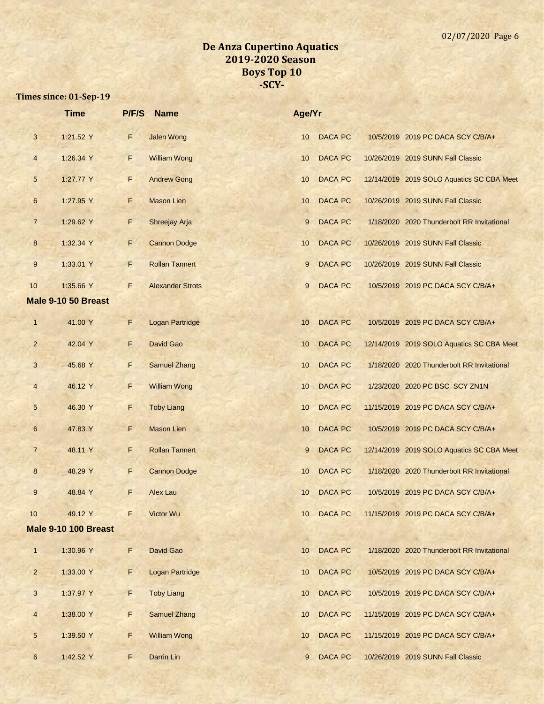|                  | <b>Time</b>                 | P/F/S | <b>Name</b>             | Age/Yr |                |                                            |
|------------------|-----------------------------|-------|-------------------------|--------|----------------|--------------------------------------------|
| $\mathbf{3}$     | 1:21.52 Y                   | F     | <b>Jalen Wong</b>       | 10     | <b>DACA PC</b> | 10/5/2019 2019 PC DACA SCY C/B/A+          |
| $\overline{4}$   | 1:26.34 Y                   | F.    | <b>William Wong</b>     | 10     | <b>DACA PC</b> | 10/26/2019 2019 SUNN Fall Classic          |
| 5                | 1:27.77 Y                   | F     | <b>Andrew Gong</b>      | 10     | <b>DACA PC</b> | 12/14/2019 2019 SOLO Aquatics SC CBA Meet  |
| $\boldsymbol{6}$ | 1:27.95 Y                   | F     | <b>Mason Lien</b>       | 10     | <b>DACA PC</b> | 10/26/2019 2019 SUNN Fall Classic          |
| $\overline{7}$   | 1:29.62 Y                   | F     | Shreejay Arja           | 9      | <b>DACA PC</b> | 1/18/2020 2020 Thunderbolt RR Invitational |
| 8                | 1:32.34 Y                   | F     | <b>Cannon Dodge</b>     | 10     | <b>DACA PC</b> | 10/26/2019 2019 SUNN Fall Classic          |
| 9                | 1:33.01 Y                   | F.    | <b>Rollan Tannert</b>   | 9      | <b>DACA PC</b> | 10/26/2019 2019 SUNN Fall Classic          |
| 10               | 1:35.66 Y                   | F     | <b>Alexander Strots</b> | 9      | <b>DACA PC</b> | 10/5/2019 2019 PC DACA SCY C/B/A+          |
|                  | Male 9-10 50 Breast         |       |                         |        |                |                                            |
| $\mathbf{1}$     | 41.00 Y                     | F     | <b>Logan Partridge</b>  | 10     | <b>DACA PC</b> | 10/5/2019 2019 PC DACA SCY C/B/A+          |
| $\overline{2}$   | 42.04 Y                     | F     | David Gao               | 10     | <b>DACA PC</b> | 12/14/2019 2019 SOLO Aquatics SC CBA Meet  |
| $\mathbf{3}$     | 45.68 Y                     | F     | <b>Samuel Zhang</b>     | 10     | <b>DACA PC</b> | 1/18/2020 2020 Thunderbolt RR Invitational |
| $\overline{4}$   | 46.12 Y                     | F     | <b>William Wong</b>     | 10     | <b>DACA PC</b> | 1/23/2020 2020 PC BSC SCY ZN1N             |
| $\overline{5}$   | 46.30 Y                     | F     | <b>Toby Liang</b>       | 10     | <b>DACA PC</b> | 11/15/2019 2019 PC DACA SCY C/B/A+         |
| $6\phantom{1}$   | 47.83 Y                     | F     | <b>Mason Lien</b>       | 10     | <b>DACA PC</b> | 10/5/2019 2019 PC DACA SCY C/B/A+          |
| $\overline{7}$   | 48.11 Y                     | F     | <b>Rollan Tannert</b>   | 9      | <b>DACA PC</b> | 12/14/2019 2019 SOLO Aquatics SC CBA Meet  |
| 8                | 48.29 Y                     | F     | <b>Cannon Dodge</b>     | 10     | <b>DACA PC</b> | 1/18/2020 2020 Thunderbolt RR Invitational |
| $9\,$            | 48.84 Y                     | F     | <b>Alex Lau</b>         | 10     | <b>DACA PC</b> | 10/5/2019 2019 PC DACA SCY C/B/A+          |
| 10               | 49.12 Y                     | F     | Victor Wu               | 10     | <b>DACA PC</b> | 11/15/2019 2019 PC DACA SCY C/B/A+         |
|                  | <b>Male 9-10 100 Breast</b> |       |                         |        |                |                                            |
| $\mathbf{1}$     | 1:30.96 Y                   | F     | David Gao               | 10     | <b>DACA PC</b> | 1/18/2020 2020 Thunderbolt RR Invitational |
| $\overline{c}$   | 1:33.00 Y                   | F.    | <b>Logan Partridge</b>  | 10     | <b>DACA PC</b> | 10/5/2019 2019 PC DACA SCY C/B/A+          |
| $\mathbf{3}$     | 1:37.97 Y                   | F.    | <b>Toby Liang</b>       | 10     | <b>DACA PC</b> | 10/5/2019 2019 PC DACA SCY C/B/A+          |
| $\overline{4}$   | 1:38.00 Y                   | F     | <b>Samuel Zhang</b>     | 10     | <b>DACA PC</b> | 11/15/2019 2019 PC DACA SCY C/B/A+         |
| $\sqrt{5}$       | 1:39.50 Y                   | F     | <b>William Wong</b>     | 10     | <b>DACA PC</b> | 11/15/2019 2019 PC DACA SCY C/B/A+         |
| $6\overline{6}$  | 1:42.52 Y                   | F     | Darrin Lin              | 9      | <b>DACA PC</b> | 10/26/2019 2019 SUNN Fall Classic          |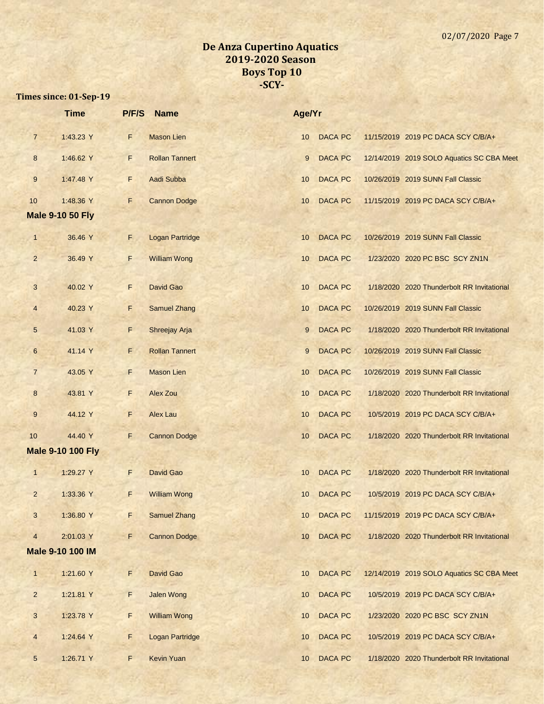|                 | <b>Time</b>              | P/F/S       | <b>Name</b>            | Age/Yr          |                |                                            |
|-----------------|--------------------------|-------------|------------------------|-----------------|----------------|--------------------------------------------|
| $\overline{7}$  | 1:43.23 Y                | F           | <b>Mason Lien</b>      | 10 <sup>°</sup> | <b>DACA PC</b> | 11/15/2019 2019 PC DACA SCY C/B/A+         |
| 8               | 1:46.62 Y                | F.          | <b>Rollan Tannert</b>  | 9               | <b>DACA PC</b> | 12/14/2019 2019 SOLO Aquatics SC CBA Meet  |
| 9               | 1:47.48 Y                | F           | Aadi Subba             | 10              | <b>DACA PC</b> | 10/26/2019 2019 SUNN Fall Classic          |
| 10              | 1:48.36 Y                | F           | <b>Cannon Dodge</b>    | 10              | <b>DACA PC</b> | 11/15/2019 2019 PC DACA SCY C/B/A+         |
|                 | <b>Male 9-10 50 Fly</b>  |             |                        |                 |                |                                            |
| $\mathbf{1}$    | 36.46 Y                  | F.          | <b>Logan Partridge</b> | 10              | <b>DACA PC</b> | 10/26/2019 2019 SUNN Fall Classic          |
| $\overline{2}$  | 36.49 Y                  | F.          | <b>William Wong</b>    | 10              | <b>DACA PC</b> | 1/23/2020 2020 PC BSC SCY ZN1N             |
| 3               | 40.02 Y                  | F           | David Gao              | 10              | <b>DACA PC</b> | 1/18/2020 2020 Thunderbolt RR Invitational |
| $\overline{4}$  | 40.23 Y                  | F           | <b>Samuel Zhang</b>    | 10              | <b>DACA PC</b> | 10/26/2019 2019 SUNN Fall Classic          |
| 5               | 41.03 Y                  | F           | Shreejay Arja          | 9               | <b>DACA PC</b> | 1/18/2020 2020 Thunderbolt RR Invitational |
| $6\phantom{1}$  | 41.14 Y                  | F           | <b>Rollan Tannert</b>  | 9               | <b>DACA PC</b> | 10/26/2019 2019 SUNN Fall Classic          |
| $\overline{7}$  | 43.05 Y                  | F           | <b>Mason Lien</b>      | 10              | <b>DACA PC</b> | 10/26/2019 2019 SUNN Fall Classic          |
| 8               | 43.81 Y                  | F           | <b>Alex Zou</b>        | 10              | <b>DACA PC</b> | 1/18/2020 2020 Thunderbolt RR Invitational |
| $9$             | 44.12 Y                  | F           | Alex Lau               | 10              | <b>DACA PC</b> | 10/5/2019 2019 PC DACA SCY C/B/A+          |
| 10              | 44.40 Y                  | F           | <b>Cannon Dodge</b>    | 10              | <b>DACA PC</b> | 1/18/2020 2020 Thunderbolt RR Invitational |
|                 | <b>Male 9-10 100 Fly</b> |             |                        |                 |                |                                            |
| $\mathbf{1}$    | 1:29.27 Y                | F           | David Gao              | 10              | <b>DACA PC</b> | 1/18/2020 2020 Thunderbolt RR Invitational |
| 2               | 1:33.36 Y                | F           | <b>William Wong</b>    | 10              | DACA PC        | 10/5/2019 2019 PC DACA SCY C/B/A+          |
| 3               | 1:36.80 Y                | F           | <b>Samuel Zhang</b>    | 10              | <b>DACA PC</b> | 11/15/2019 2019 PC DACA SCY C/B/A+         |
| $\overline{4}$  | 2:01.03 Y                | F           | <b>Cannon Dodge</b>    | 10              | <b>DACA PC</b> | 1/18/2020 2020 Thunderbolt RR Invitational |
|                 | Male 9-10 100 IM         |             |                        |                 |                |                                            |
| $\mathbf{1}$    | 1:21.60 Y                | F           | David Gao              | 10              | <b>DACA PC</b> | 12/14/2019 2019 SOLO Aquatics SC CBA Meet  |
| $\overline{2}$  | 1:21.81 Y                | $\mathsf F$ | <b>Jalen Wong</b>      | 10              | <b>DACA PC</b> | 10/5/2019 2019 PC DACA SCY C/B/A+          |
| 3               | 1:23.78 Y                | F           | <b>William Wong</b>    | 10              | <b>DACA PC</b> | 1/23/2020 2020 PC BSC SCY ZN1N             |
| $\overline{4}$  | 1:24.64 Y                | F           | <b>Logan Partridge</b> | 10              | DACA PC        | 10/5/2019 2019 PC DACA SCY C/B/A+          |
| $5\phantom{.0}$ | 1:26.71 Y                | F           | <b>Kevin Yuan</b>      | 10              | <b>DACA PC</b> | 1/18/2020 2020 Thunderbolt RR Invitational |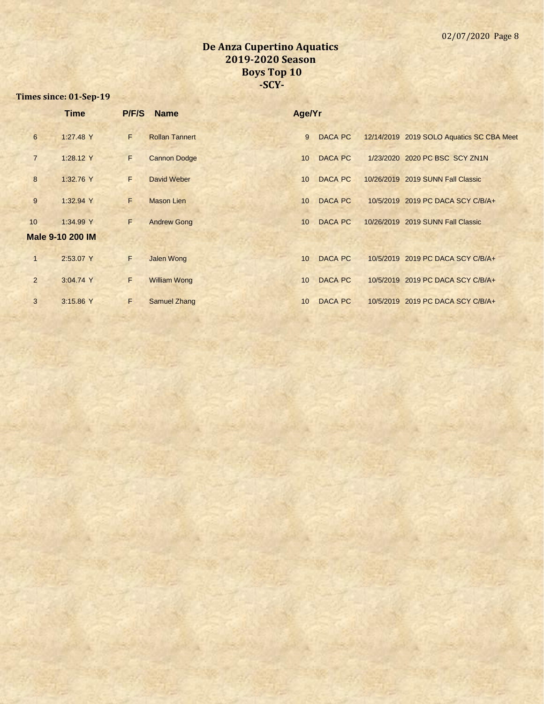|                | <b>Time</b>      | <b>P/F/S</b> | <b>Name</b>           | Age/Yr |                |                                           |
|----------------|------------------|--------------|-----------------------|--------|----------------|-------------------------------------------|
| $6\phantom{1}$ | 1:27.48 Y        | F.           | <b>Rollan Tannert</b> | 9      | <b>DACA PC</b> | 12/14/2019 2019 SOLO Aquatics SC CBA Meet |
| $\overline{7}$ | 1:28.12 Y        | F.           | <b>Cannon Dodge</b>   | 10     | <b>DACA PC</b> | 1/23/2020 2020 PC BSC SCY ZN1N            |
| 8              | 1:32.76 Y        | F.           | David Weber           | 10     | <b>DACA PC</b> | 10/26/2019 2019 SUNN Fall Classic         |
| 9              | 1:32.94 Y        | F            | <b>Mason Lien</b>     | 10     | <b>DACA PC</b> | 10/5/2019 2019 PC DACA SCY C/B/A+         |
| 10             | 1:34.99 Y        | F.           | <b>Andrew Gong</b>    | 10     | <b>DACA PC</b> | 10/26/2019 2019 SUNN Fall Classic         |
|                | Male 9-10 200 IM |              |                       |        |                |                                           |
| $\mathbf{1}$   | 2:53.07 Y        | F            | <b>Jalen Wong</b>     | 10     | DACA PC        | 10/5/2019 2019 PC DACA SCY C/B/A+         |
| 2              | 3:04.74 Y        | F            | <b>William Wong</b>   | 10     | <b>DACA PC</b> | 10/5/2019 2019 PC DACA SCY C/B/A+         |
| 3              | 3:15.86 Y        | F            | <b>Samuel Zhang</b>   | 10     | DACA PC        | 10/5/2019 2019 PC DACA SCY C/B/A+         |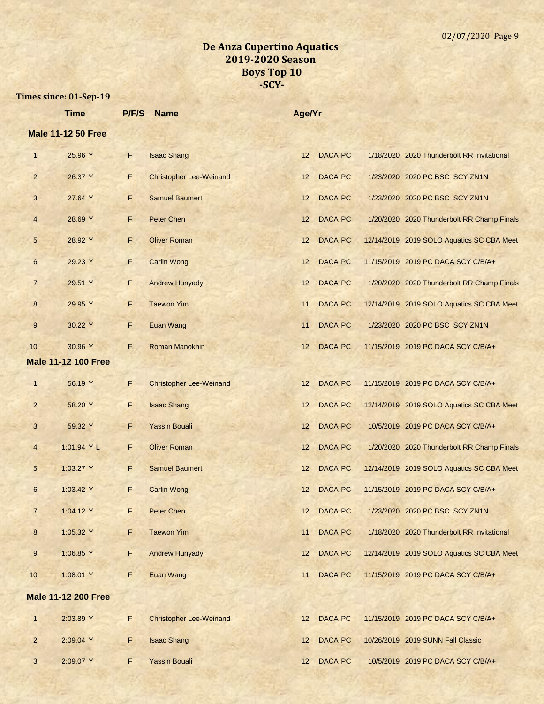|                 | <b>Time</b>                | P/F/S | <b>Name</b>                    | Age/Yr |                |                                            |
|-----------------|----------------------------|-------|--------------------------------|--------|----------------|--------------------------------------------|
|                 | <b>Male 11-12 50 Free</b>  |       |                                |        |                |                                            |
| $\mathbf{1}$    | 25.96 Y                    | F     | <b>Isaac Shang</b>             | 12     | <b>DACA PC</b> | 1/18/2020 2020 Thunderbolt RR Invitational |
| $\overline{2}$  | 26.37 Y                    | F     | <b>Christopher Lee-Weinand</b> | 12     | <b>DACA PC</b> | 1/23/2020 2020 PC BSC SCY ZN1N             |
| 3               | 27.64 Y                    | F     | <b>Samuel Baumert</b>          | 12     | <b>DACA PC</b> | 1/23/2020 2020 PC BSC SCY ZN1N             |
| $\overline{4}$  | 28.69 Y                    | F     | <b>Peter Chen</b>              | 12     | <b>DACA PC</b> | 1/20/2020 2020 Thunderbolt RR Champ Finals |
| 5               | 28.92 Y                    | F     | <b>Oliver Roman</b>            | 12     | <b>DACA PC</b> | 12/14/2019 2019 SOLO Aquatics SC CBA Meet  |
| $6\phantom{.}6$ | 29.23 Y                    | F     | <b>Carlin Wong</b>             | 12     | <b>DACA PC</b> | 11/15/2019 2019 PC DACA SCY C/B/A+         |
| $\overline{7}$  | 29.51 Y                    | F     | <b>Andrew Hunyady</b>          | 12     | <b>DACA PC</b> | 1/20/2020 2020 Thunderbolt RR Champ Finals |
| 8               | 29.95 Y                    | F     | <b>Taewon Yim</b>              | 11     | <b>DACA PC</b> | 12/14/2019 2019 SOLO Aquatics SC CBA Meet  |
| 9               | 30.22 Y                    | F     | <b>Euan Wang</b>               | 11     | <b>DACA PC</b> | 1/23/2020 2020 PC BSC SCY ZN1N             |
| 10              | 30.96 Y                    | F.    | <b>Roman Manokhin</b>          | 12     | <b>DACA PC</b> | 11/15/2019 2019 PC DACA SCY C/B/A+         |
|                 | <b>Male 11-12 100 Free</b> |       |                                |        |                |                                            |
| $\mathbf{1}$    | 56.19 Y                    | F     | <b>Christopher Lee-Weinand</b> | 12     | <b>DACA PC</b> | 11/15/2019 2019 PC DACA SCY C/B/A+         |
| $\overline{2}$  | 58.20 Y                    | F     | <b>Isaac Shang</b>             | 12     | <b>DACA PC</b> | 12/14/2019 2019 SOLO Aquatics SC CBA Meet  |
| 3               | 59.32 Y                    | F     | <b>Yassin Bouali</b>           | 12     | <b>DACA PC</b> | 10/5/2019 2019 PC DACA SCY C/B/A+          |
| $\overline{4}$  | 1:01.94 Y L                | F     | <b>Oliver Roman</b>            | 12     | <b>DACA PC</b> | 1/20/2020 2020 Thunderbolt RR Champ Finals |
| 5               | 1:03.27 Y                  | F     | <b>Samuel Baumert</b>          | 12     | <b>DACA PC</b> | 12/14/2019 2019 SOLO Aquatics SC CBA Meet  |
| 6               | 1:03.42 Y                  | F     | <b>Carlin Wong</b>             | 12     | <b>DACA PC</b> | 11/15/2019 2019 PC DACA SCY C/B/A+         |
| $\overline{7}$  | 1:04.12 Y                  | F     | Peter Chen                     | 12     | <b>DACA PC</b> | 1/23/2020 2020 PC BSC SCY ZN1N             |
| $\bf 8$         | 1:05.32 Y                  | F     | <b>Taewon Yim</b>              | 11     | <b>DACA PC</b> | 1/18/2020 2020 Thunderbolt RR Invitational |
| 9               | 1:06.85 Y                  | F     | <b>Andrew Hunyady</b>          | 12     | <b>DACA PC</b> | 12/14/2019 2019 SOLO Aquatics SC CBA Meet  |
| 10              | 1:08.01 Y                  | F     | Euan Wang                      | 11     | <b>DACA PC</b> | 11/15/2019 2019 PC DACA SCY C/B/A+         |
|                 | <b>Male 11-12 200 Free</b> |       |                                |        |                |                                            |
| $\mathbf{1}$    | 2:03.89 Y                  | F     | <b>Christopher Lee-Weinand</b> | 12     | <b>DACA PC</b> | 11/15/2019 2019 PC DACA SCY C/B/A+         |
| $\overline{2}$  | 2:09.04 Y                  | F.    | <b>Isaac Shang</b>             | 12     | <b>DACA PC</b> | 10/26/2019 2019 SUNN Fall Classic          |
| 3               | 2:09.07 Y                  | F     | <b>Yassin Bouali</b>           | 12     | <b>DACA PC</b> | 10/5/2019 2019 PC DACA SCY C/B/A+          |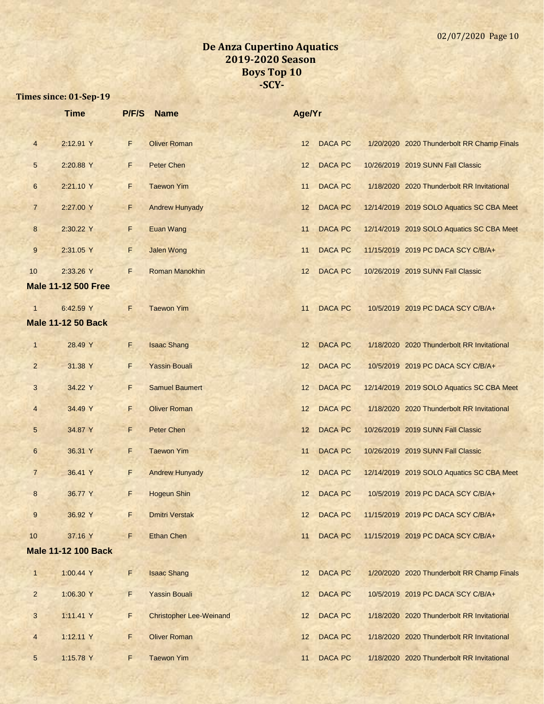|                | <b>Time</b>                | P/F/S | <b>Name</b>                    | Age/Yr |                |                                            |
|----------------|----------------------------|-------|--------------------------------|--------|----------------|--------------------------------------------|
| $\overline{4}$ | 2:12.91 Y                  | F     | <b>Oliver Roman</b>            | 12     | <b>DACA PC</b> | 1/20/2020 2020 Thunderbolt RR Champ Finals |
| 5              | 2:20.88 Y                  | F     | Peter Chen                     | 12     | <b>DACA PC</b> | 10/26/2019 2019 SUNN Fall Classic          |
| 6              | 2:21.10 Y                  | F     | <b>Taewon Yim</b>              | 11     | <b>DACA PC</b> | 1/18/2020 2020 Thunderbolt RR Invitational |
| $\overline{7}$ | 2:27.00 Y                  | F     | <b>Andrew Hunyady</b>          | 12     | <b>DACA PC</b> | 12/14/2019 2019 SOLO Aquatics SC CBA Meet  |
| 8              | 2:30.22 Y                  | F     | Euan Wang                      | 11     | <b>DACA PC</b> | 12/14/2019 2019 SOLO Aquatics SC CBA Meet  |
| 9              | 2:31.05 Y                  | F     | <b>Jalen Wong</b>              | 11     | <b>DACA PC</b> | 11/15/2019 2019 PC DACA SCY C/B/A+         |
| 10             | 2:33.26 Y                  | F.    | Roman Manokhin                 | 12     | <b>DACA PC</b> | 10/26/2019 2019 SUNN Fall Classic          |
|                | <b>Male 11-12 500 Free</b> |       |                                |        |                |                                            |
| $\mathbf{1}$   | 6:42.59 Y                  | F     | <b>Taewon Yim</b>              | 11     | <b>DACA PC</b> | 10/5/2019 2019 PC DACA SCY C/B/A+          |
|                | <b>Male 11-12 50 Back</b>  |       |                                |        |                |                                            |
| $\mathbf{1}$   | 28.49 Y                    | F     | <b>Isaac Shang</b>             | 12     | <b>DACA PC</b> | 1/18/2020 2020 Thunderbolt RR Invitational |
| $\overline{2}$ | 31.38 Y                    | F     | <b>Yassin Bouali</b>           | 12     | <b>DACA PC</b> | 10/5/2019 2019 PC DACA SCY C/B/A+          |
| 3              | 34.22 Y                    | F     | <b>Samuel Baumert</b>          | 12     | <b>DACA PC</b> | 12/14/2019 2019 SOLO Aquatics SC CBA Meet  |
| $\overline{4}$ | 34.49 Y                    | F     | <b>Oliver Roman</b>            | 12     | <b>DACA PC</b> | 1/18/2020 2020 Thunderbolt RR Invitational |
| 5              | 34.87 Y                    | F     | <b>Peter Chen</b>              | 12     | <b>DACA PC</b> | 10/26/2019 2019 SUNN Fall Classic          |
| 6              | 36.31 Y                    | F     | <b>Taewon Yim</b>              | 11     | <b>DACA PC</b> | 10/26/2019 2019 SUNN Fall Classic          |
| $\overline{7}$ | 36.41 Y                    | F     | <b>Andrew Hunyady</b>          | 12     | <b>DACA PC</b> | 12/14/2019 2019 SOLO Aquatics SC CBA Meet  |
| 8              | 36.77 Y                    | F     | <b>Hogeun Shin</b>             | 12     | <b>DACA PC</b> | 10/5/2019 2019 PC DACA SCY C/B/A+          |
| 9              | 36.92 Y                    | F     | <b>Dmitri Verstak</b>          | 12     | <b>DACA PC</b> | 11/15/2019 2019 PC DACA SCY C/B/A+         |
| 10             | 37.16 Y                    | F     | <b>Ethan Chen</b>              | 11     | <b>DACA PC</b> | 11/15/2019 2019 PC DACA SCY C/B/A+         |
|                | <b>Male 11-12 100 Back</b> |       |                                |        |                |                                            |
| $\mathbf{1}$   | 1:00.44 Y                  | F.    | <b>Isaac Shang</b>             | 12     | <b>DACA PC</b> | 1/20/2020 2020 Thunderbolt RR Champ Finals |
| $\overline{2}$ | 1:06.30 Y                  | F.    | <b>Yassin Bouali</b>           | 12     | <b>DACA PC</b> | 10/5/2019 2019 PC DACA SCY C/B/A+          |
| $\mathbf{3}$   | 1:11.41 Y                  | F     | <b>Christopher Lee-Weinand</b> | 12     | <b>DACA PC</b> | 1/18/2020 2020 Thunderbolt RR Invitational |
| $\overline{4}$ | 1:12.11 Y                  | F     | <b>Oliver Roman</b>            | 12     | <b>DACA PC</b> | 1/18/2020 2020 Thunderbolt RR Invitational |
| $\overline{5}$ | 1:15.78 Y                  | F     | <b>Taewon Yim</b>              | 11     | DACA PC        | 1/18/2020 2020 Thunderbolt RR Invitational |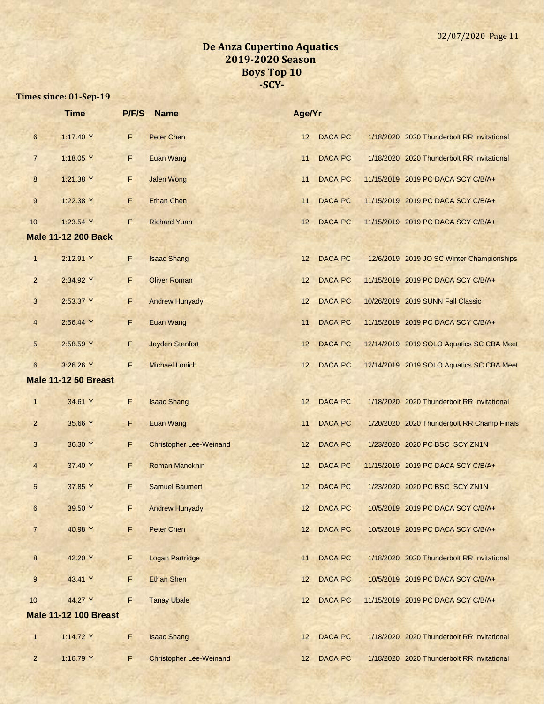|                  | <b>Time</b>                  | P/F/S | <b>Name</b>                    | Age/Yr          |                |                                            |
|------------------|------------------------------|-------|--------------------------------|-----------------|----------------|--------------------------------------------|
| $\boldsymbol{6}$ | 1:17.40 Y                    | F     | Peter Chen                     | 12              | <b>DACA PC</b> | 1/18/2020 2020 Thunderbolt RR Invitational |
| $\overline{7}$   | 1:18.05 Y                    | F     | <b>Euan Wang</b>               | 11              | <b>DACA PC</b> | 1/18/2020 2020 Thunderbolt RR Invitational |
| 8                | 1:21.38 Y                    | F     | <b>Jalen Wong</b>              | 11              | <b>DACA PC</b> | 11/15/2019 2019 PC DACA SCY C/B/A+         |
| 9                | 1:22.38 Y                    | F     | <b>Ethan Chen</b>              | 11              | <b>DACA PC</b> | 11/15/2019 2019 PC DACA SCY C/B/A+         |
| 10               | 1:23.54 Y                    | F     | <b>Richard Yuan</b>            | 12              | <b>DACA PC</b> | 11/15/2019 2019 PC DACA SCY C/B/A+         |
|                  | <b>Male 11-12 200 Back</b>   |       |                                |                 |                |                                            |
| $\overline{1}$   | 2:12.91 Y                    | F     | <b>Isaac Shang</b>             | 12              | <b>DACA PC</b> | 12/6/2019 2019 JO SC Winter Championships  |
| $\overline{a}$   | 2:34.92 Y                    | F     | <b>Oliver Roman</b>            | 12              | <b>DACA PC</b> | 11/15/2019 2019 PC DACA SCY C/B/A+         |
| 3                | 2:53.37 Y                    | F.    | <b>Andrew Hunyady</b>          | 12              | <b>DACA PC</b> | 10/26/2019 2019 SUNN Fall Classic          |
| $\overline{4}$   | 2:56.44 Y                    | F     | <b>Euan Wang</b>               | 11              | <b>DACA PC</b> | 11/15/2019 2019 PC DACA SCY C/B/A+         |
| 5                | 2:58.59 Y                    | F     | <b>Jayden Stenfort</b>         | 12              | <b>DACA PC</b> | 12/14/2019 2019 SOLO Aquatics SC CBA Meet  |
| $6\phantom{.}$   | 3:26.26 Y                    | F     | <b>Michael Lonich</b>          | 12              | <b>DACA PC</b> | 12/14/2019 2019 SOLO Aquatics SC CBA Meet  |
|                  | <b>Male 11-12 50 Breast</b>  |       |                                |                 |                |                                            |
| $\mathbf{1}$     | 34.61 Y                      | F     | <b>Isaac Shang</b>             | 12              | <b>DACA PC</b> | 1/18/2020 2020 Thunderbolt RR Invitational |
| $\overline{a}$   | 35.66 Y                      | F     | Euan Wang                      | 11              | <b>DACA PC</b> | 1/20/2020 2020 Thunderbolt RR Champ Finals |
| 3                | 36.30 Y                      | F     | <b>Christopher Lee-Weinand</b> | 12              | <b>DACA PC</b> | 1/23/2020 2020 PC BSC SCY ZN1N             |
| $\overline{4}$   | 37.40 Y                      | F     | Roman Manokhin                 | 12              | <b>DACA PC</b> | 11/15/2019 2019 PC DACA SCY C/B/A+         |
| $\sqrt{5}$       | 37.85 Y                      | F.    | <b>Samuel Baumert</b>          | 12              | <b>DACA PC</b> | 1/23/2020 2020 PC BSC SCY ZN1N             |
| 6                | 39.50 Y                      | F     | <b>Andrew Hunyady</b>          | 12              | <b>DACA PC</b> | 10/5/2019 2019 PC DACA SCY C/B/A+          |
| $\overline{7}$   | 40.98 Y                      | F     | Peter Chen                     | 12              | <b>DACA PC</b> | 10/5/2019 2019 PC DACA SCY C/B/A+          |
| 8                | 42.20 Y                      | F     | <b>Logan Partridge</b>         | 11              | <b>DACA PC</b> | 1/18/2020 2020 Thunderbolt RR Invitational |
| 9                | 43.41 Y                      | F     | Ethan Shen                     | 12 <sup>2</sup> | <b>DACA PC</b> | 10/5/2019 2019 PC DACA SCY C/B/A+          |
| 10               | 44.27 Y                      | F     | <b>Tanay Ubale</b>             | 12 <sup>2</sup> | <b>DACA PC</b> | 11/15/2019 2019 PC DACA SCY C/B/A+         |
|                  | <b>Male 11-12 100 Breast</b> |       |                                |                 |                |                                            |
| $\mathbf{1}$     | 1:14.72 Y                    | F     | <b>Isaac Shang</b>             | 12              | <b>DACA PC</b> | 1/18/2020 2020 Thunderbolt RR Invitational |
| $\overline{2}$   | 1:16.79 Y                    | F     | <b>Christopher Lee-Weinand</b> | 12              | <b>DACA PC</b> | 1/18/2020 2020 Thunderbolt RR Invitational |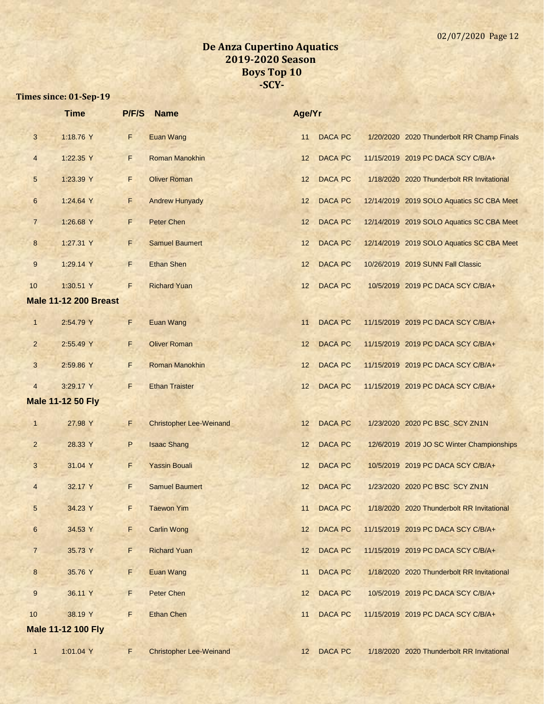|                | <b>Time</b>                  | P/F/S | <b>Name</b>                    | Age/Yr |                |                                            |
|----------------|------------------------------|-------|--------------------------------|--------|----------------|--------------------------------------------|
| $\mathbf{3}$   | 1:18.76 Y                    | F.    | <b>Euan Wang</b>               | 11     | <b>DACA PC</b> | 1/20/2020 2020 Thunderbolt RR Champ Finals |
| $\overline{4}$ | 1:22.35 Y                    | F.    | <b>Roman Manokhin</b>          | 12     | <b>DACA PC</b> | 11/15/2019 2019 PC DACA SCY C/B/A+         |
| 5              | 1:23.39 Y                    | F     | <b>Oliver Roman</b>            | 12     | <b>DACA PC</b> | 1/18/2020 2020 Thunderbolt RR Invitational |
| $6\phantom{1}$ | 1:24.64 Y                    | F     | <b>Andrew Hunyady</b>          | 12     | <b>DACA PC</b> | 12/14/2019 2019 SOLO Aquatics SC CBA Meet  |
| $\overline{7}$ | 1:26.68 Y                    | F.    | Peter Chen                     | 12     | <b>DACA PC</b> | 12/14/2019 2019 SOLO Aquatics SC CBA Meet  |
| 8              | 1:27.31 Y                    | F.    | <b>Samuel Baumert</b>          | 12     | <b>DACA PC</b> | 12/14/2019 2019 SOLO Aquatics SC CBA Meet  |
| 9              | 1:29.14 Y                    | F     | <b>Ethan Shen</b>              | 12     | <b>DACA PC</b> | 10/26/2019 2019 SUNN Fall Classic          |
| 10             | 1:30.51 Y                    | F     | <b>Richard Yuan</b>            | 12     | <b>DACA PC</b> | 10/5/2019 2019 PC DACA SCY C/B/A+          |
|                | <b>Male 11-12 200 Breast</b> |       |                                |        |                |                                            |
| $\mathbf{1}$   | 2:54.79 Y                    | F     | Euan Wang                      | 11     | <b>DACA PC</b> | 11/15/2019 2019 PC DACA SCY C/B/A+         |
| $\overline{2}$ | 2:55.49 Y                    | F     | <b>Oliver Roman</b>            | 12     | <b>DACA PC</b> | 11/15/2019 2019 PC DACA SCY C/B/A+         |
| 3              | 2:59.86 Y                    | F     | Roman Manokhin                 | 12     | <b>DACA PC</b> | 11/15/2019 2019 PC DACA SCY C/B/A+         |
| $\overline{4}$ | 3:29.17 Y                    | F     | <b>Ethan Traister</b>          | 12     | <b>DACA PC</b> | 11/15/2019 2019 PC DACA SCY C/B/A+         |
|                | <b>Male 11-12 50 Fly</b>     |       |                                |        |                |                                            |
| $\mathbf{1}$   | 27.98 Y                      | F     | <b>Christopher Lee-Weinand</b> | 12     | <b>DACA PC</b> | 1/23/2020 2020 PC BSC SCY ZN1N             |
| $\overline{2}$ | 28.33 Y                      | P     | <b>Isaac Shang</b>             | 12     | <b>DACA PC</b> | 12/6/2019 2019 JO SC Winter Championships  |
| 3              | 31.04 Y                      | F     | <b>Yassin Bouali</b>           | 12     | <b>DACA PC</b> | 10/5/2019 2019 PC DACA SCY C/B/A+          |
| $\overline{4}$ | 32.17 Y                      | F     | <b>Samuel Baumert</b>          | 12     | <b>DACA PC</b> | 1/23/2020 2020 PC BSC SCY ZN1N             |
| $\mathbf{p}$   | 34.23 Y                      | F.    | <b>Taewon Yim</b>              | 11     | <b>DACA PC</b> | 1/18/2020 2020 Thunderbolt RR Invitational |
| $6\phantom{1}$ | 34.53 Y                      | F.    | <b>Carlin Wong</b>             | 12     | <b>DACA PC</b> | 11/15/2019 2019 PC DACA SCY C/B/A+         |
| $\overline{7}$ | 35.73 Y                      | F     | <b>Richard Yuan</b>            | 12     | <b>DACA PC</b> | 11/15/2019 2019 PC DACA SCY C/B/A+         |
| $8\phantom{1}$ | 35.76 Y                      | F.    | Euan Wang                      | 11     | <b>DACA PC</b> | 1/18/2020 2020 Thunderbolt RR Invitational |
| 9              | 36.11 Y                      | F.    | <b>Peter Chen</b>              | 12     | <b>DACA PC</b> | 10/5/2019 2019 PC DACA SCY C/B/A+          |
| 10             | 38.19 Y                      | F     | <b>Ethan Chen</b>              | 11     | <b>DACA PC</b> | 11/15/2019 2019 PC DACA SCY C/B/A+         |
|                | <b>Male 11-12 100 Fly</b>    |       |                                |        |                |                                            |
| $\mathbf{1}$   | 1:01.04 Y                    | F.    | <b>Christopher Lee-Weinand</b> |        | 12 DACA PC     | 1/18/2020 2020 Thunderbolt RR Invitational |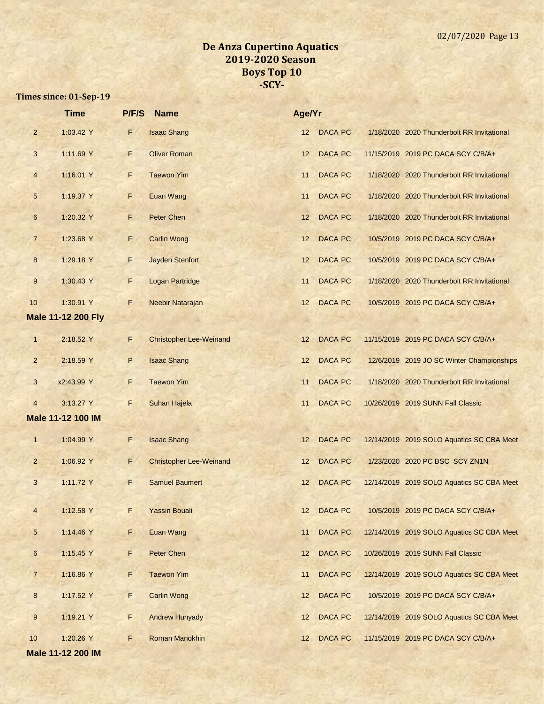|                         | <b>Time</b>               | P/F/S | <b>Name</b>                    | Age/Yr |                |                                            |
|-------------------------|---------------------------|-------|--------------------------------|--------|----------------|--------------------------------------------|
| $\overline{2}$          | 1:03.42 Y                 | F     | <b>Isaac Shang</b>             | 12     | <b>DACA PC</b> | 1/18/2020 2020 Thunderbolt RR Invitational |
| $\mathbf{3}$            | 1:11.69 Y                 | F     | <b>Oliver Roman</b>            | 12     | <b>DACA PC</b> | 11/15/2019 2019 PC DACA SCY C/B/A+         |
| $\overline{4}$          | 1:16.01 Y                 | F     | <b>Taewon Yim</b>              | 11     | <b>DACA PC</b> | 1/18/2020 2020 Thunderbolt RR Invitational |
| $\sqrt{5}$              | 1:19.37 Y                 | F     | <b>Euan Wang</b>               | 11     | <b>DACA PC</b> | 1/18/2020 2020 Thunderbolt RR Invitational |
| $\,6$                   | 1:20.32 Y                 | F     | <b>Peter Chen</b>              | 12     | <b>DACA PC</b> | 1/18/2020 2020 Thunderbolt RR Invitational |
| $\overline{7}$          | 1:23.68 Y                 | F     | <b>Carlin Wong</b>             | 12     | <b>DACA PC</b> | 10/5/2019 2019 PC DACA SCY C/B/A+          |
| $\bf 8$                 | 1:29.18 Y                 | F     | <b>Jayden Stenfort</b>         | 12     | <b>DACA PC</b> | 10/5/2019 2019 PC DACA SCY C/B/A+          |
| $9\,$                   | 1:30.43 Y                 | F     | <b>Logan Partridge</b>         | 11     | <b>DACA PC</b> | 1/18/2020 2020 Thunderbolt RR Invitational |
| 10                      | 1:30.91 Y                 | F     | Neebir Natarajan               | 12     | <b>DACA PC</b> | 10/5/2019 2019 PC DACA SCY C/B/A+          |
|                         | <b>Male 11-12 200 Fly</b> |       |                                |        |                |                                            |
| $\mathbf{1}$            | 2:18.52 Y                 | F     | <b>Christopher Lee-Weinand</b> | 12     | <b>DACA PC</b> | 11/15/2019 2019 PC DACA SCY C/B/A+         |
| $\overline{2}$          | 2:18.59 Y                 | P     | <b>Isaac Shang</b>             | 12     | <b>DACA PC</b> | 12/6/2019 2019 JO SC Winter Championships  |
| $\mathbf{3}$            | x2:43.99 Y                | F     | <b>Taewon Yim</b>              | 11     | <b>DACA PC</b> | 1/18/2020 2020 Thunderbolt RR Invitational |
| $\overline{4}$          | 3:13.27 Y                 | F     | Suhan Hajela                   | 11     | <b>DACA PC</b> | 10/26/2019 2019 SUNN Fall Classic          |
|                         | <b>Male 11-12 100 IM</b>  |       |                                |        |                |                                            |
| $\mathbf{1}$            | 1:04.99 Y                 | F     | <b>Isaac Shang</b>             | 12     | <b>DACA PC</b> | 12/14/2019 2019 SOLO Aquatics SC CBA Meet  |
| $\overline{2}$          | 1:06.92 Y                 | F     | <b>Christopher Lee-Weinand</b> | 12     | <b>DACA PC</b> | 1/23/2020 2020 PC BSC SCY ZN1N             |
| $\mathbf{3}$            | 1:11.72 Y                 | F     | <b>Samuel Baumert</b>          | 12     | <b>DACA PC</b> | 12/14/2019 2019 SOLO Aquatics SC CBA Meet  |
| $\overline{\mathbf{4}}$ | 1:12.58 Y                 | F     | <b>Yassin Bouali</b>           | 12     | <b>DACA PC</b> | 10/5/2019 2019 PC DACA SCY C/B/A+          |
| $5\phantom{.0}$         | 1:14.46 Y                 | F     | Euan Wang                      | 11     | <b>DACA PC</b> | 12/14/2019 2019 SOLO Aquatics SC CBA Meet  |
| $\boldsymbol{6}$        | 1:15.45 Y                 | F     | Peter Chen                     | 12     | <b>DACA PC</b> | 10/26/2019 2019 SUNN Fall Classic          |
| $\overline{7}$          | 1:16.86 Y                 | F     | <b>Taewon Yim</b>              | 11     | <b>DACA PC</b> | 12/14/2019 2019 SOLO Aquatics SC CBA Meet  |
| $\bf{8}$                | 1:17.52 Y                 | F     | <b>Carlin Wong</b>             | 12     | <b>DACA PC</b> | 10/5/2019 2019 PC DACA SCY C/B/A+          |
| $\boldsymbol{9}$        | 1:19.21 Y                 | F     | <b>Andrew Hunyady</b>          | 12     | <b>DACA PC</b> | 12/14/2019 2019 SOLO Aquatics SC CBA Meet  |
| 10                      | 1:20.26 Y                 | F     | Roman Manokhin                 | 12     | <b>DACA PC</b> | 11/15/2019 2019 PC DACA SCY C/B/A+         |
|                         | Male 11-12 200 IM         |       |                                |        |                |                                            |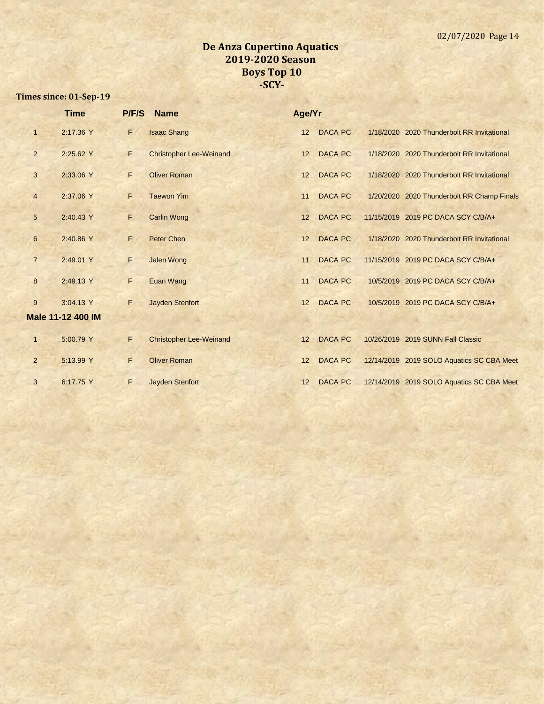|                | <b>Time</b>              | P/F/S | <b>Name</b>                    | Age/Yr |                |                                            |
|----------------|--------------------------|-------|--------------------------------|--------|----------------|--------------------------------------------|
| $\mathbf{1}$   | 2:17.36 Y                | F     | <b>Isaac Shang</b>             | 12     | <b>DACA PC</b> | 1/18/2020 2020 Thunderbolt RR Invitational |
| $\overline{2}$ | 2:25.62 Y                | F     | <b>Christopher Lee-Weinand</b> | 12     | <b>DACA PC</b> | 1/18/2020 2020 Thunderbolt RR Invitational |
| 3              | 2:33.06 Y                | F     | <b>Oliver Roman</b>            | 12     | <b>DACA PC</b> | 1/18/2020 2020 Thunderbolt RR Invitational |
| $\overline{4}$ | 2:37.06 Y                | F     | <b>Taewon Yim</b>              | 11     | <b>DACA PC</b> | 1/20/2020 2020 Thunderbolt RR Champ Finals |
| 5 <sup>5</sup> | 2:40.43 Y                | F     | <b>Carlin Wong</b>             | 12     | <b>DACA PC</b> | 11/15/2019 2019 PC DACA SCY C/B/A+         |
| $6\phantom{.}$ | 2:40.86 Y                | F.    | <b>Peter Chen</b>              | 12     | <b>DACA PC</b> | 1/18/2020 2020 Thunderbolt RR Invitational |
| $\overline{7}$ | 2:49.01 Y                | F     | <b>Jalen Wong</b>              | 11     | <b>DACA PC</b> | 11/15/2019 2019 PC DACA SCY C/B/A+         |
| 8              | 2:49.13 Y                | F     | Euan Wang                      | 11     | <b>DACA PC</b> | 10/5/2019 2019 PC DACA SCY C/B/A+          |
| 9              | 3:04.13 Y                | F     | <b>Jayden Stenfort</b>         | 12     | <b>DACA PC</b> | 10/5/2019 2019 PC DACA SCY C/B/A+          |
|                | <b>Male 11-12 400 IM</b> |       |                                |        |                |                                            |
| $\mathbf{1}$   | 5:00.79 Y                | F     | <b>Christopher Lee-Weinand</b> | 12     | <b>DACA PC</b> | 10/26/2019 2019 SUNN Fall Classic          |
| $\overline{2}$ | 5:13.99 Y                | F.    | <b>Oliver Roman</b>            | 12     | <b>DACA PC</b> | 12/14/2019 2019 SOLO Aquatics SC CBA Meet  |
| 3              | 6:17.75 Y                | F     | <b>Jayden Stenfort</b>         | 12     | <b>DACA PC</b> | 12/14/2019 2019 SOLO Aquatics SC CBA Meet  |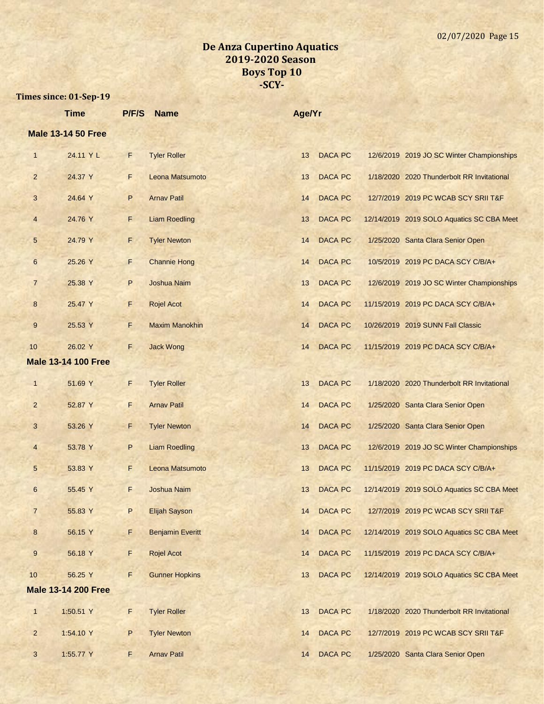|                  | <b>Time</b>                | P/F/S | <b>Name</b>             | Age/Yr |                |                                            |
|------------------|----------------------------|-------|-------------------------|--------|----------------|--------------------------------------------|
|                  | <b>Male 13-14 50 Free</b>  |       |                         |        |                |                                            |
| $\mathbf{1}$     | 24.11 Y L                  | F     | <b>Tyler Roller</b>     | 13     | <b>DACA PC</b> | 12/6/2019 2019 JO SC Winter Championships  |
| $\overline{2}$   | 24.37 Y                    | F.    | Leona Matsumoto         | 13     | <b>DACA PC</b> | 1/18/2020 2020 Thunderbolt RR Invitational |
| 3                | 24.64 Y                    | P     | <b>Arnav Patil</b>      | 14     | <b>DACA PC</b> | 12/7/2019 2019 PC WCAB SCY SRII T&F        |
| $\overline{4}$   | 24.76 Y                    | F     | <b>Liam Roedling</b>    | 13     | <b>DACA PC</b> | 12/14/2019 2019 SOLO Aquatics SC CBA Meet  |
| $\sqrt{5}$       | 24.79 Y                    | F     | <b>Tyler Newton</b>     | 14     | <b>DACA PC</b> | 1/25/2020 Santa Clara Senior Open          |
| $6\phantom{.}6$  | 25.26 Y                    | F     | <b>Channie Hong</b>     | 14     | <b>DACA PC</b> | 10/5/2019 2019 PC DACA SCY C/B/A+          |
| $\overline{7}$   | 25.38 Y                    | P     | Joshua Naim             | 13     | <b>DACA PC</b> | 12/6/2019 2019 JO SC Winter Championships  |
| $\bf 8$          | 25.47 Y                    | F     | <b>Rojel Acot</b>       | 14     | <b>DACA PC</b> | 11/15/2019 2019 PC DACA SCY C/B/A+         |
| 9                | 25.53 Y                    | F.    | <b>Maxim Manokhin</b>   | 14     | <b>DACA PC</b> | 10/26/2019 2019 SUNN Fall Classic          |
| 10               | 26.02 Y                    | F.    | <b>Jack Wong</b>        | 14     | <b>DACA PC</b> | 11/15/2019 2019 PC DACA SCY C/B/A+         |
|                  | <b>Male 13-14 100 Free</b> |       |                         |        |                |                                            |
| $\mathbf{1}$     | 51.69 Y                    | F     | <b>Tyler Roller</b>     | 13     | <b>DACA PC</b> | 1/18/2020 2020 Thunderbolt RR Invitational |
| $\overline{2}$   | 52.87 Y                    | F     | <b>Arnav Patil</b>      | 14     | <b>DACA PC</b> | 1/25/2020 Santa Clara Senior Open          |
| 3                | 53.26 Y                    | F     | <b>Tyler Newton</b>     | 14     | <b>DACA PC</b> | 1/25/2020 Santa Clara Senior Open          |
| $\overline{4}$   | 53.78 Y                    | P     | <b>Liam Roedling</b>    | 13     | <b>DACA PC</b> | 12/6/2019 2019 JO SC Winter Championships  |
| 5                | 53.83 Y                    | F     | Leona Matsumoto         | 13     | <b>DACA PC</b> | 11/15/2019 2019 PC DACA SCY C/B/A+         |
| 6                | 55.45 Y                    | F     | <b>Joshua Naim</b>      | 13     | <b>DACA PC</b> | 12/14/2019 2019 SOLO Aquatics SC CBA Meet  |
| $\overline{7}$   | 55.83 Y                    | P     | <b>Elijah Sayson</b>    | 14     | <b>DACA PC</b> | 12/7/2019 2019 PC WCAB SCY SRII T&F        |
| $\bf 8$          | 56.15 Y                    | F     | <b>Benjamin Everitt</b> | 14     | <b>DACA PC</b> | 12/14/2019 2019 SOLO Aquatics SC CBA Meet  |
| $\boldsymbol{9}$ | 56.18 Y                    | F     | <b>Rojel Acot</b>       | 14     | DACA PC        | 11/15/2019 2019 PC DACA SCY C/B/A+         |
| 10               | 56.25 Y                    | F     | <b>Gunner Hopkins</b>   | 13     | <b>DACA PC</b> | 12/14/2019 2019 SOLO Aquatics SC CBA Meet  |
|                  | <b>Male 13-14 200 Free</b> |       |                         |        |                |                                            |
| $\mathbf{1}$     | 1:50.51 Y                  | F     | <b>Tyler Roller</b>     | 13     | <b>DACA PC</b> | 1/18/2020 2020 Thunderbolt RR Invitational |
| $\overline{2}$   | 1:54.10 Y                  | P     | <b>Tyler Newton</b>     | 14     | <b>DACA PC</b> | 12/7/2019 2019 PC WCAB SCY SRII T&F        |
| $\mathbf{3}$     | 1:55.77 Y                  | F     | <b>Arnav Patil</b>      | 14     | <b>DACA PC</b> | 1/25/2020 Santa Clara Senior Open          |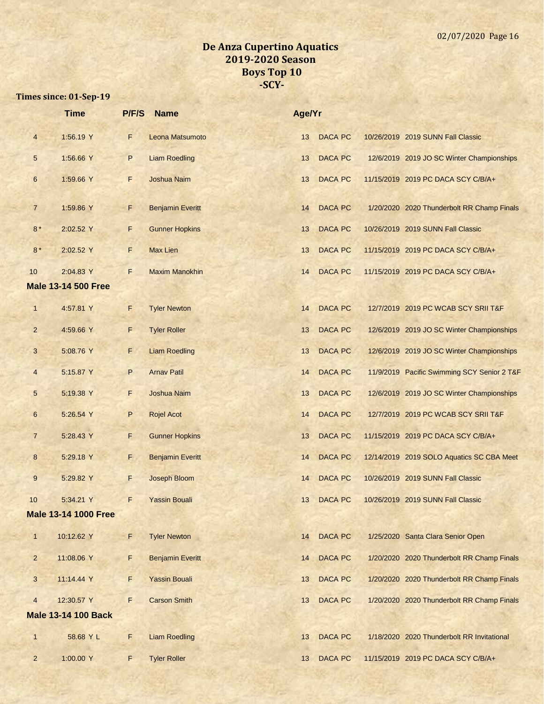|                | <b>Time</b>                 | P/F/S | <b>Name</b>             | Age/Yr |                |                                             |
|----------------|-----------------------------|-------|-------------------------|--------|----------------|---------------------------------------------|
| $\overline{4}$ | 1:56.19 Y                   | F     | Leona Matsumoto         | 13     | <b>DACA PC</b> | 10/26/2019 2019 SUNN Fall Classic           |
| 5              | 1:56.66 Y                   | P     | <b>Liam Roedling</b>    | 13     | <b>DACA PC</b> | 12/6/2019 2019 JO SC Winter Championships   |
| 6              | 1:59.66 Y                   | F     | <b>Joshua Naim</b>      | 13     | <b>DACA PC</b> | 11/15/2019 2019 PC DACA SCY C/B/A+          |
| $\overline{7}$ | 1:59.86 Y                   | F     | <b>Benjamin Everitt</b> | 14     | <b>DACA PC</b> | 1/20/2020 2020 Thunderbolt RR Champ Finals  |
| $8*$           | 2:02.52 Y                   | F     | <b>Gunner Hopkins</b>   | 13     | <b>DACA PC</b> | 10/26/2019 2019 SUNN Fall Classic           |
| $8*$           | 2:02.52 Y                   | F     | <b>Max Lien</b>         | 13     | <b>DACA PC</b> | 11/15/2019 2019 PC DACA SCY C/B/A+          |
| 10             | 2:04.83 Y                   | F     | <b>Maxim Manokhin</b>   | 14     | <b>DACA PC</b> | 11/15/2019 2019 PC DACA SCY C/B/A+          |
|                | <b>Male 13-14 500 Free</b>  |       |                         |        |                |                                             |
| $\mathbf{1}$   | 4:57.81 Y                   | F     | <b>Tyler Newton</b>     | 14     | <b>DACA PC</b> | 12/7/2019 2019 PC WCAB SCY SRII T&F         |
| $\overline{2}$ | 4:59.66 Y                   | F     | <b>Tyler Roller</b>     | 13     | <b>DACA PC</b> | 12/6/2019 2019 JO SC Winter Championships   |
| 3              | 5:08.76 Y                   | F     | <b>Liam Roedling</b>    | 13     | <b>DACA PC</b> | 12/6/2019 2019 JO SC Winter Championships   |
| $\overline{4}$ | 5:15.87 Y                   | P     | <b>Arnav Patil</b>      | 14     | <b>DACA PC</b> | 11/9/2019 Pacific Swimming SCY Senior 2 T&F |
| 5              | 5:19.38 Y                   | F     | Joshua Naim             | 13     | <b>DACA PC</b> | 12/6/2019 2019 JO SC Winter Championships   |
| 6              | 5:26.54 Y                   | P     | <b>Rojel Acot</b>       | 14     | <b>DACA PC</b> | 12/7/2019 2019 PC WCAB SCY SRII T&F         |
| $\overline{7}$ | 5:28.43 Y                   | F     | <b>Gunner Hopkins</b>   | 13     | <b>DACA PC</b> | 11/15/2019 2019 PC DACA SCY C/B/A+          |
| 8              | 5:29.18 Y                   | F.    | <b>Benjamin Everitt</b> | 14     | DACA PC        | 12/14/2019 2019 SOLO Aquatics SC CBA Meet   |
| 9              | 5:29.82 Y                   | F     | Joseph Bloom            | 14     | DACA PC        | 10/26/2019 2019 SUNN Fall Classic           |
| 10             | 5:34.21 Y                   | F     | <b>Yassin Bouali</b>    | 13     | <b>DACA PC</b> | 10/26/2019 2019 SUNN Fall Classic           |
|                | <b>Male 13-14 1000 Free</b> |       |                         |        |                |                                             |
| $\mathbf{1}$   | 10:12.62 Y                  | F     | <b>Tyler Newton</b>     | 14     | <b>DACA PC</b> | 1/25/2020 Santa Clara Senior Open           |
| $\overline{c}$ | 11:08.06 Y                  | F     | <b>Benjamin Everitt</b> | 14     | DACA PC        | 1/20/2020 2020 Thunderbolt RR Champ Finals  |
| 3              | 11:14.44 Y                  | F     | <b>Yassin Bouali</b>    | 13     | DACA PC        | 1/20/2020 2020 Thunderbolt RR Champ Finals  |
| $\overline{4}$ | 12:30.57 Y                  | F     | <b>Carson Smith</b>     | 13     | <b>DACA PC</b> | 1/20/2020 2020 Thunderbolt RR Champ Finals  |
|                | <b>Male 13-14 100 Back</b>  |       |                         |        |                |                                             |
| $\mathbf{1}$   | 58.68 Y L                   | F     | <b>Liam Roedling</b>    | 13     | <b>DACA PC</b> | 1/18/2020 2020 Thunderbolt RR Invitational  |
| $\overline{2}$ | 1:00.00 Y                   | F     | <b>Tyler Roller</b>     | 13     | <b>DACA PC</b> | 11/15/2019 2019 PC DACA SCY C/B/A+          |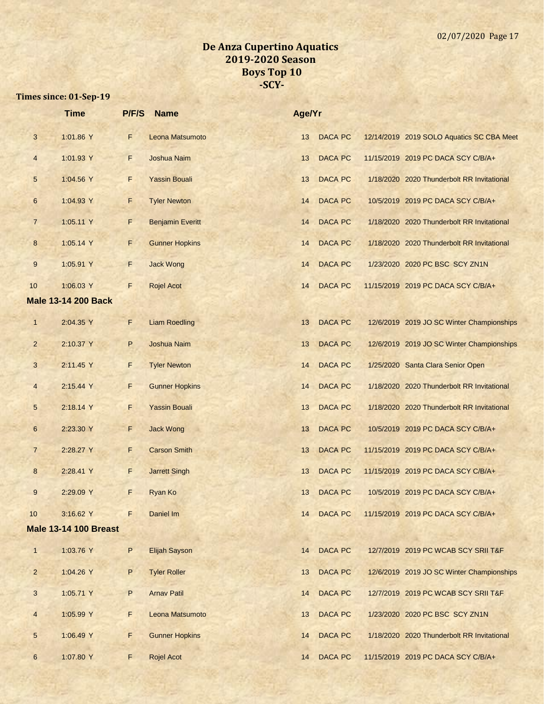|                | <b>Time</b>                  | P/F/S | <b>Name</b>             | Age/Yr |                |                                            |
|----------------|------------------------------|-------|-------------------------|--------|----------------|--------------------------------------------|
| 3              | 1:01.86 Y                    | F     | Leona Matsumoto         | 13     | <b>DACA PC</b> | 12/14/2019 2019 SOLO Aquatics SC CBA Meet  |
| $\overline{4}$ | 1:01.93 Y                    | F.    | Joshua Naim             | 13     | <b>DACA PC</b> | 11/15/2019 2019 PC DACA SCY C/B/A+         |
| 5              | 1:04.56 Y                    | F     | <b>Yassin Bouali</b>    | 13     | <b>DACA PC</b> | 1/18/2020 2020 Thunderbolt RR Invitational |
| 6              | 1:04.93 Y                    | F     | <b>Tyler Newton</b>     | 14     | <b>DACA PC</b> | 10/5/2019 2019 PC DACA SCY C/B/A+          |
| $\overline{7}$ | 1:05.11 Y                    | F     | <b>Benjamin Everitt</b> | 14     | <b>DACA PC</b> | 1/18/2020 2020 Thunderbolt RR Invitational |
| 8              | 1:05.14 Y                    | F.    | <b>Gunner Hopkins</b>   | 14     | <b>DACA PC</b> | 1/18/2020 2020 Thunderbolt RR Invitational |
| 9              | 1:05.91 Y                    | F     | <b>Jack Wong</b>        | 14     | <b>DACA PC</b> | 1/23/2020 2020 PC BSC SCY ZN1N             |
| 10             | 1:06.03 Y                    | F     | <b>Rojel Acot</b>       | 14     | <b>DACA PC</b> | 11/15/2019 2019 PC DACA SCY C/B/A+         |
|                | <b>Male 13-14 200 Back</b>   |       |                         |        |                |                                            |
| $\mathbf{1}$   | 2:04.35 Y                    | F.    | <b>Liam Roedling</b>    | 13     | <b>DACA PC</b> | 12/6/2019 2019 JO SC Winter Championships  |
| $\overline{2}$ | 2:10.37 Y                    | P     | Joshua Naim             | 13     | <b>DACA PC</b> | 12/6/2019 2019 JO SC Winter Championships  |
| $\mathbf{3}$   | 2:11.45 Y                    | F     | <b>Tyler Newton</b>     | 14     | <b>DACA PC</b> | 1/25/2020 Santa Clara Senior Open          |
| $\overline{4}$ | 2:15.44 Y                    | F     | <b>Gunner Hopkins</b>   | 14     | <b>DACA PC</b> | 1/18/2020 2020 Thunderbolt RR Invitational |
| 5              | 2:18.14 Y                    | F.    | <b>Yassin Bouali</b>    | 13     | <b>DACA PC</b> | 1/18/2020 2020 Thunderbolt RR Invitational |
| $6\phantom{1}$ | 2:23.30 Y                    | F     | <b>Jack Wong</b>        | 13     | <b>DACA PC</b> | 10/5/2019 2019 PC DACA SCY C/B/A+          |
| $\overline{7}$ | 2:28.27 Y                    | F     | <b>Carson Smith</b>     | 13     | <b>DACA PC</b> | 11/15/2019 2019 PC DACA SCY C/B/A+         |
| 8              | 2:28.41 Y                    | F.    | <b>Jarrett Singh</b>    | 13     | <b>DACA PC</b> | 11/15/2019 2019 PC DACA SCY C/B/A+         |
| $9\,$          | 2:29.09 Y                    | F     | Ryan Ko                 | 13     | <b>DACA PC</b> | 10/5/2019 2019 PC DACA SCY C/B/A+          |
| 10             | 3:16.62 Y                    | F     | Daniel Im               | 14     | <b>DACA PC</b> | 11/15/2019 2019 PC DACA SCY C/B/A+         |
|                | <b>Male 13-14 100 Breast</b> |       |                         |        |                |                                            |
| $\mathbf{1}$   | 1:03.76 Y                    | P     | Elijah Sayson           | 14     | <b>DACA PC</b> | 12/7/2019 2019 PC WCAB SCY SRII T&F        |
| $\overline{2}$ | 1:04.26 Y                    | P     | <b>Tyler Roller</b>     | 13     | <b>DACA PC</b> | 12/6/2019 2019 JO SC Winter Championships  |
| 3              | 1:05.71 Y                    | P     | <b>Arnav Patil</b>      | 14     | <b>DACA PC</b> | 12/7/2019 2019 PC WCAB SCY SRII T&F        |
| $\overline{4}$ | 1:05.99 Y                    | F     | Leona Matsumoto         | 13     | <b>DACA PC</b> | 1/23/2020 2020 PC BSC SCY ZN1N             |
| 5              | 1:06.49 Y                    | F     | <b>Gunner Hopkins</b>   | 14     | <b>DACA PC</b> | 1/18/2020 2020 Thunderbolt RR Invitational |
| 6              | 1:07.80 Y                    | F     | <b>Rojel Acot</b>       | 14     | <b>DACA PC</b> | 11/15/2019 2019 PC DACA SCY C/B/A+         |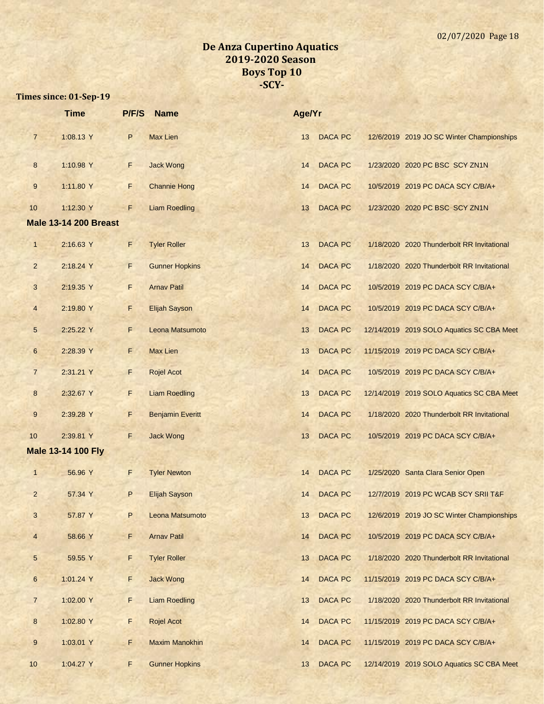|                          | <b>Time</b>                  | P/F/S | <b>Name</b>             | Age/Yr |                |                                            |
|--------------------------|------------------------------|-------|-------------------------|--------|----------------|--------------------------------------------|
| $\overline{7}$           | 1:08.13 Y                    | P     | <b>Max Lien</b>         | 13     | <b>DACA PC</b> | 12/6/2019 2019 JO SC Winter Championships  |
| 8                        | 1:10.98 Y                    | F     | <b>Jack Wong</b>        | 14     | <b>DACA PC</b> | 1/23/2020 2020 PC BSC SCY ZN1N             |
| 9                        | 1:11.80 Y                    | F     | <b>Channie Hong</b>     | 14     | <b>DACA PC</b> | 10/5/2019 2019 PC DACA SCY C/B/A+          |
| 10                       | 1:12.30 Y                    | F     | <b>Liam Roedling</b>    | 13     | <b>DACA PC</b> | 1/23/2020 2020 PC BSC SCY ZN1N             |
|                          | <b>Male 13-14 200 Breast</b> |       |                         |        |                |                                            |
| $\mathbf{1}$             | 2:16.63 Y                    | F     | <b>Tyler Roller</b>     | 13     | <b>DACA PC</b> | 1/18/2020 2020 Thunderbolt RR Invitational |
| $\overline{2}$           | 2:18.24 Y                    | F.    | <b>Gunner Hopkins</b>   | 14     | <b>DACA PC</b> | 1/18/2020 2020 Thunderbolt RR Invitational |
| 3                        | 2:19.35 Y                    | F     | <b>Arnav Patil</b>      | 14     | <b>DACA PC</b> | 10/5/2019 2019 PC DACA SCY C/B/A+          |
| $\overline{\mathcal{A}}$ | 2:19.80 Y                    | F     | <b>Elijah Sayson</b>    | 14     | <b>DACA PC</b> | 10/5/2019 2019 PC DACA SCY C/B/A+          |
| 5                        | 2:25.22 Y                    | F     | Leona Matsumoto         | 13     | <b>DACA PC</b> | 12/14/2019 2019 SOLO Aquatics SC CBA Meet  |
| $6\phantom{.}$           | 2:28.39 Y                    | F     | <b>Max Lien</b>         | 13     | <b>DACA PC</b> | 11/15/2019 2019 PC DACA SCY C/B/A+         |
| $\overline{7}$           | 2:31.21 Y                    | F     | <b>Rojel Acot</b>       | 14     | <b>DACA PC</b> | 10/5/2019 2019 PC DACA SCY C/B/A+          |
| $\bf{8}$                 | 2:32.67 Y                    | F     | <b>Liam Roedling</b>    | 13     | <b>DACA PC</b> | 12/14/2019 2019 SOLO Aquatics SC CBA Meet  |
| 9                        | 2:39.28 Y                    | F     | <b>Benjamin Everitt</b> | 14     | <b>DACA PC</b> | 1/18/2020 2020 Thunderbolt RR Invitational |
| 10                       | 2:39.81 Y                    | F     | <b>Jack Wong</b>        | 13     | <b>DACA PC</b> | 10/5/2019 2019 PC DACA SCY C/B/A+          |
|                          | <b>Male 13-14 100 Fly</b>    |       |                         |        |                |                                            |
| $\mathbf{1}$             | 56.96 Y                      | F     | <b>Tyler Newton</b>     | 14     | <b>DACA PC</b> | 1/25/2020 Santa Clara Senior Open          |
| $\overline{2}$           | 57.34 Y                      | P     | <b>Elijah Sayson</b>    | 14     | <b>DACA PC</b> | 12/7/2019 2019 PC WCAB SCY SRII T&F        |
| 3                        | 57.87 Y                      | P     | Leona Matsumoto         | 13     | <b>DACA PC</b> | 12/6/2019 2019 JO SC Winter Championships  |
| $\overline{4}$           | 58.66 Y                      | F     | <b>Arnav Patil</b>      | 14     | <b>DACA PC</b> | 10/5/2019 2019 PC DACA SCY C/B/A+          |
| 5                        | 59.55 Y                      | F     | <b>Tyler Roller</b>     | 13     | <b>DACA PC</b> | 1/18/2020 2020 Thunderbolt RR Invitational |
| $\bf 6$                  | 1:01.24 Y                    | F     | <b>Jack Wong</b>        | 14     | <b>DACA PC</b> | 11/15/2019 2019 PC DACA SCY C/B/A+         |
| $\overline{7}$           | 1:02.00 Y                    | F     | <b>Liam Roedling</b>    | 13     | <b>DACA PC</b> | 1/18/2020 2020 Thunderbolt RR Invitational |
| $\bf8$                   | 1:02.80 Y                    | F     | <b>Rojel Acot</b>       | 14     | <b>DACA PC</b> | 11/15/2019 2019 PC DACA SCY C/B/A+         |
| 9                        | 1:03.01 Y                    | F     | <b>Maxim Manokhin</b>   | 14     | <b>DACA PC</b> | 11/15/2019 2019 PC DACA SCY C/B/A+         |
| 10                       | 1:04.27 Y                    | F     | <b>Gunner Hopkins</b>   | 13     | <b>DACA PC</b> | 12/14/2019 2019 SOLO Aquatics SC CBA Meet  |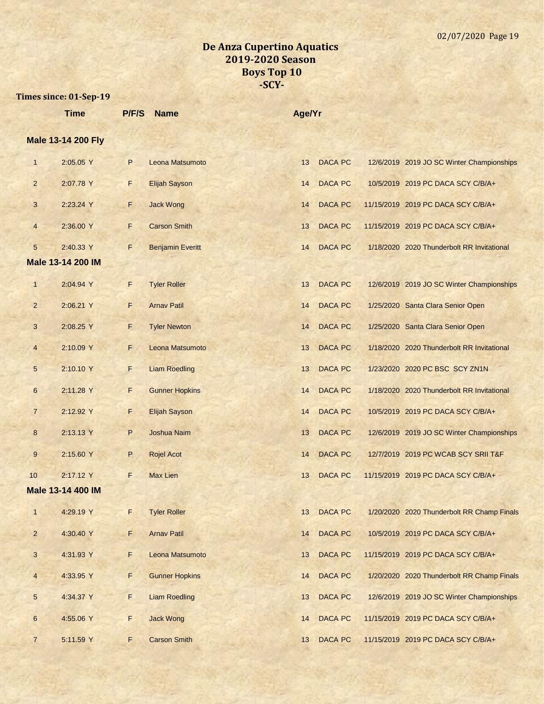|                         | <b>Time</b>               | P/F/S | <b>Name</b>             | Age/Yr |                |                                            |
|-------------------------|---------------------------|-------|-------------------------|--------|----------------|--------------------------------------------|
|                         | <b>Male 13-14 200 Fly</b> |       |                         |        |                |                                            |
| $\mathbf{1}$            | 2:05.05 Y                 | P     | Leona Matsumoto         | 13     | <b>DACA PC</b> | 12/6/2019 2019 JO SC Winter Championships  |
| $\overline{2}$          | 2:07.78 Y                 | F.    | <b>Elijah Sayson</b>    | 14     | <b>DACA PC</b> | 10/5/2019 2019 PC DACA SCY C/B/A+          |
| 3                       | 2:23.24 Y                 | F     | <b>Jack Wong</b>        | 14     | <b>DACA PC</b> | 11/15/2019 2019 PC DACA SCY C/B/A+         |
| $\overline{4}$          | 2:36.00 Y                 | F     | <b>Carson Smith</b>     | 13     | <b>DACA PC</b> | 11/15/2019 2019 PC DACA SCY C/B/A+         |
| 5                       | 2:40.33 Y                 | F     | <b>Benjamin Everitt</b> | 14     | <b>DACA PC</b> | 1/18/2020 2020 Thunderbolt RR Invitational |
|                         | Male 13-14 200 IM         |       |                         |        |                |                                            |
| $\mathbf{1}$            | 2:04.94 Y                 | F     | <b>Tyler Roller</b>     | 13     | <b>DACA PC</b> | 12/6/2019 2019 JO SC Winter Championships  |
| $\overline{2}$          | 2:06.21 Y                 | F.    | <b>Arnav Patil</b>      | 14     | <b>DACA PC</b> | 1/25/2020 Santa Clara Senior Open          |
| 3                       | 2:08.25 Y                 | F     | <b>Tyler Newton</b>     | 14     | <b>DACA PC</b> | 1/25/2020 Santa Clara Senior Open          |
| 4                       | 2:10.09 Y                 | F.    | Leona Matsumoto         | 13     | <b>DACA PC</b> | 1/18/2020 2020 Thunderbolt RR Invitational |
| 5                       | 2:10.10 Y                 | F.    | <b>Liam Roedling</b>    | 13     | <b>DACA PC</b> | 1/23/2020 2020 PC BSC SCY ZN1N             |
| 6                       | 2:11.28 Y                 | F     | <b>Gunner Hopkins</b>   | 14     | <b>DACA PC</b> | 1/18/2020 2020 Thunderbolt RR Invitational |
| $\overline{7}$          | 2:12.92 Y                 | F     | <b>Elijah Sayson</b>    | 14     | <b>DACA PC</b> | 10/5/2019 2019 PC DACA SCY C/B/A+          |
| 8                       | 2:13.13 Y                 | P     | <b>Joshua Naim</b>      | 13     | <b>DACA PC</b> | 12/6/2019 2019 JO SC Winter Championships  |
| 9                       | 2:15.60 Y                 | P     | <b>Rojel Acot</b>       | 14     | <b>DACA PC</b> | 12/7/2019 2019 PC WCAB SCY SRII T&F        |
| 10                      | 2:17.12 Y                 | F     | <b>Max Lien</b>         | 13     | <b>DACA PC</b> | 11/15/2019 2019 PC DACA SCY C/B/A+         |
|                         | Male 13-14 400 IM         |       |                         |        |                |                                            |
| $\mathbf{1}$            | 4:29.19 Y                 | F     | <b>Tyler Roller</b>     | 13     | DACA PC        | 1/20/2020 2020 Thunderbolt RR Champ Finals |
| $\overline{c}$          | 4:30.40 Y                 | F     | <b>Arnav Patil</b>      | 14     | DACA PC        | 10/5/2019 2019 PC DACA SCY C/B/A+          |
| 3                       | 4:31.93 Y                 | F     | Leona Matsumoto         | 13     | DACA PC        | 11/15/2019 2019 PC DACA SCY C/B/A+         |
| $\overline{\mathbf{r}}$ | 4:33.95 Y                 | F     | <b>Gunner Hopkins</b>   | 14     | <b>DACA PC</b> | 1/20/2020 2020 Thunderbolt RR Champ Finals |
| $\sqrt{5}$              | 4:34.37 Y                 | F     | <b>Liam Roedling</b>    | 13     | <b>DACA PC</b> | 12/6/2019 2019 JO SC Winter Championships  |
| 6                       | 4:55.06 Y                 | F,    | <b>Jack Wong</b>        | 14     | <b>DACA PC</b> | 11/15/2019 2019 PC DACA SCY C/B/A+         |
| $\overline{7}$          | 5:11.59 Y                 | F.    | <b>Carson Smith</b>     | 13     | DACA PC        | 11/15/2019 2019 PC DACA SCY C/B/A+         |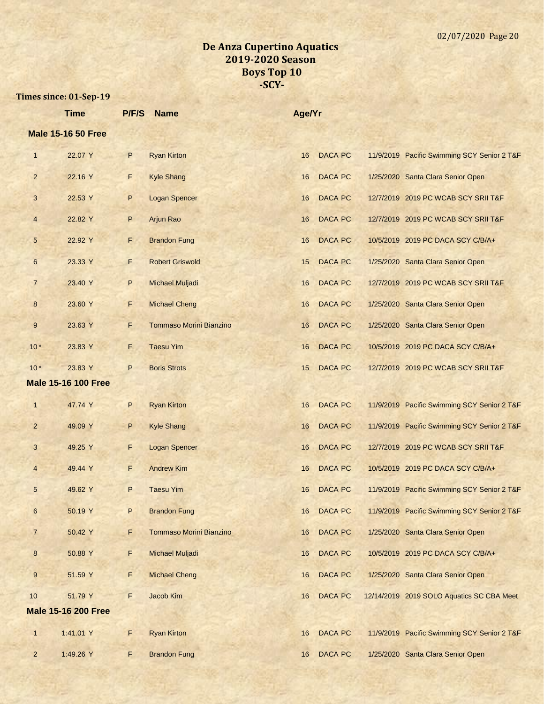|                 | <b>Time</b>                | P/F/S | <b>Name</b>                    | Age/Yr |                |                                             |
|-----------------|----------------------------|-------|--------------------------------|--------|----------------|---------------------------------------------|
|                 | <b>Male 15-16 50 Free</b>  |       |                                |        |                |                                             |
| $\mathbf{1}$    | 22.07 Y                    | P     | <b>Ryan Kirton</b>             | 16     | <b>DACA PC</b> | 11/9/2019 Pacific Swimming SCY Senior 2 T&F |
| $\overline{2}$  | 22.16 Y                    | F     | <b>Kyle Shang</b>              | 16     | <b>DACA PC</b> | 1/25/2020 Santa Clara Senior Open           |
| 3               | 22.53 Y                    | P     | <b>Logan Spencer</b>           | 16     | <b>DACA PC</b> | 12/7/2019 2019 PC WCAB SCY SRII T&F         |
| 4               | 22.82 Y                    | P     | Arjun Rao                      | 16     | <b>DACA PC</b> | 12/7/2019 2019 PC WCAB SCY SRII T&F         |
| 5               | 22.92 Y                    | F     | <b>Brandon Fung</b>            | 16     | <b>DACA PC</b> | 10/5/2019 2019 PC DACA SCY C/B/A+           |
| $6\phantom{.}6$ | 23.33 Y                    | F     | <b>Robert Griswold</b>         | 15     | <b>DACA PC</b> | 1/25/2020 Santa Clara Senior Open           |
| $\overline{7}$  | 23.40 Y                    | P     | <b>Michael Muljadi</b>         | 16     | <b>DACA PC</b> | 12/7/2019 2019 PC WCAB SCY SRII T&F         |
| 8               | 23.60 Y                    | F     | <b>Michael Cheng</b>           | 16     | <b>DACA PC</b> | 1/25/2020 Santa Clara Senior Open           |
| 9               | 23.63 Y                    | F.    | <b>Tommaso Morini Bianzino</b> | 16     | <b>DACA PC</b> | 1/25/2020 Santa Clara Senior Open           |
| $10*$           | 23.83 Y                    | F.    | <b>Taesu Yim</b>               | 16     | <b>DACA PC</b> | 10/5/2019 2019 PC DACA SCY C/B/A+           |
| $10*$           | 23.83 Y                    | P     | <b>Boris Strots</b>            | 15     | <b>DACA PC</b> | 12/7/2019 2019 PC WCAB SCY SRII T&F         |
|                 | <b>Male 15-16 100 Free</b> |       |                                |        |                |                                             |
| $\mathbf{1}$    | 47.74 Y                    | P     | <b>Ryan Kirton</b>             | 16     | <b>DACA PC</b> | 11/9/2019 Pacific Swimming SCY Senior 2 T&F |
| $\overline{2}$  | 49.09 Y                    | P     | <b>Kyle Shang</b>              | 16     | <b>DACA PC</b> | 11/9/2019 Pacific Swimming SCY Senior 2 T&F |
| 3               | 49.25 Y                    | F.    | <b>Logan Spencer</b>           | 16     | <b>DACA PC</b> | 12/7/2019 2019 PC WCAB SCY SRII T&F         |
| $\overline{4}$  | 49.44 Y                    | F     | <b>Andrew Kim</b>              | 16     | <b>DACA PC</b> | 10/5/2019 2019 PC DACA SCY C/B/A+           |
| 5               | 49.62 Y                    | P     | <b>Taesu Yim</b>               | 16     | <b>DACA PC</b> | 11/9/2019 Pacific Swimming SCY Senior 2 T&F |
| 6               | 50.19 Y                    | P     | <b>Brandon Fung</b>            | 16     | <b>DACA PC</b> | 11/9/2019 Pacific Swimming SCY Senior 2 T&F |
| $\overline{7}$  | 50.42 Y                    | F     | <b>Tommaso Morini Bianzino</b> | 16     | DACA PC        | 1/25/2020 Santa Clara Senior Open           |
| $\bf 8$         | 50.88 Y                    | F.    | <b>Michael Muljadi</b>         | 16     | DACA PC        | 10/5/2019 2019 PC DACA SCY C/B/A+           |
| 9               | 51.59 Y                    | F.    | <b>Michael Cheng</b>           | 16     | DACA PC        | 1/25/2020 Santa Clara Senior Open           |
| 10              | 51.79 Y                    | F.    | Jacob Kim                      | 16     | DACA PC        | 12/14/2019 2019 SOLO Aquatics SC CBA Meet   |
|                 | <b>Male 15-16 200 Free</b> |       |                                |        |                |                                             |
| $\mathbf{1}$    | 1:41.01 Y                  | F     | <b>Ryan Kirton</b>             | 16     | <b>DACA PC</b> | 11/9/2019 Pacific Swimming SCY Senior 2 T&F |
| $\overline{2}$  | 1:49.26 Y                  | F.    | <b>Brandon Fung</b>            | 16     | <b>DACA PC</b> | 1/25/2020 Santa Clara Senior Open           |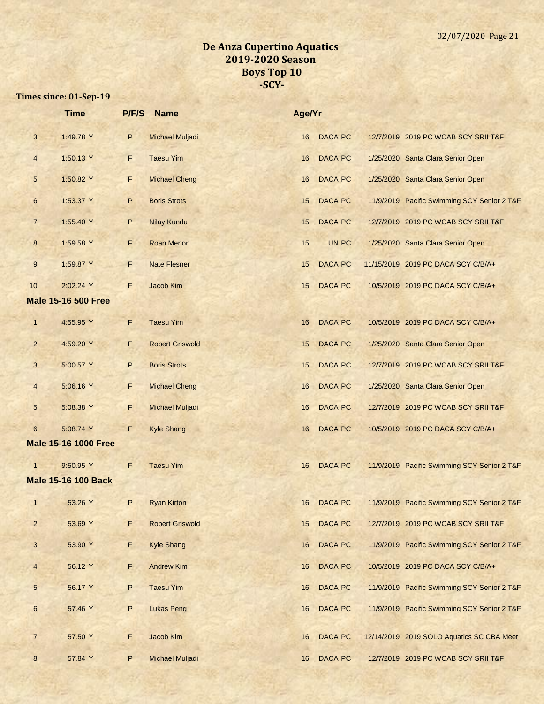|                 | <b>Time</b>                 | P/F/S   | <b>Name</b>            | Age/Yr |                |                                             |
|-----------------|-----------------------------|---------|------------------------|--------|----------------|---------------------------------------------|
| $\mathbf{3}$    | 1:49.78 Y                   | P       | <b>Michael Muljadi</b> | 16     | <b>DACA PC</b> | 12/7/2019 2019 PC WCAB SCY SRII T&F         |
| $\overline{4}$  | 1:50.13 Y                   | F       | <b>Taesu Yim</b>       | 16     | <b>DACA PC</b> | 1/25/2020 Santa Clara Senior Open           |
| 5               | 1:50.82 Y                   | F       | <b>Michael Cheng</b>   | 16     | <b>DACA PC</b> | 1/25/2020 Santa Clara Senior Open           |
| $6\phantom{1}$  | 1:53.37 Y                   | $\sf P$ | <b>Boris Strots</b>    | 15     | <b>DACA PC</b> | 11/9/2019 Pacific Swimming SCY Senior 2 T&F |
| $\overline{7}$  | 1:55.40 Y                   | P       | <b>Nilay Kundu</b>     | 15     | <b>DACA PC</b> | 12/7/2019 2019 PC WCAB SCY SRII T&F         |
| 8               | 1:59.58 Y                   | F       | <b>Roan Menon</b>      | 15     | UN PC          | 1/25/2020 Santa Clara Senior Open           |
| 9               | 1:59.87 Y                   | F       | <b>Nate Flesner</b>    | 15     | <b>DACA PC</b> | 11/15/2019 2019 PC DACA SCY C/B/A+          |
| 10              | 2:02.24 Y                   | F       | Jacob Kim              | 15     | <b>DACA PC</b> | 10/5/2019 2019 PC DACA SCY C/B/A+           |
|                 | <b>Male 15-16 500 Free</b>  |         |                        |        |                |                                             |
| $\mathbf{1}$    | 4:55.95 Y                   | F       | <b>Taesu Yim</b>       | 16     | <b>DACA PC</b> | 10/5/2019 2019 PC DACA SCY C/B/A+           |
| $\overline{a}$  | 4:59.20 Y                   | F       | <b>Robert Griswold</b> | 15     | <b>DACA PC</b> | 1/25/2020 Santa Clara Senior Open           |
| 3               | 5:00.57 Y                   | P       | <b>Boris Strots</b>    | 15     | <b>DACA PC</b> | 12/7/2019 2019 PC WCAB SCY SRII T&F         |
| $\overline{4}$  | 5:06.16 Y                   | F       | <b>Michael Cheng</b>   | 16     | <b>DACA PC</b> | 1/25/2020 Santa Clara Senior Open           |
| 5               | 5:08.38 Y                   | F       | <b>Michael Muljadi</b> | 16     | <b>DACA PC</b> | 12/7/2019 2019 PC WCAB SCY SRII T&F         |
| 6               | 5:08.74 Y                   | F       | <b>Kyle Shang</b>      | 16     | <b>DACA PC</b> | 10/5/2019 2019 PC DACA SCY C/B/A+           |
|                 | <b>Male 15-16 1000 Free</b> |         |                        |        |                |                                             |
| $\mathbf{1}$    | 9:50.95 Y                   | F       | <b>Taesu Yim</b>       | 16     | <b>DACA PC</b> | 11/9/2019 Pacific Swimming SCY Senior 2 T&F |
|                 | <b>Male 15-16 100 Back</b>  |         |                        |        |                |                                             |
| $\mathbf{1}$    | 53.26 Y                     | P       | <b>Ryan Kirton</b>     | 16     | <b>DACA PC</b> | 11/9/2019 Pacific Swimming SCY Senior 2 T&F |
| $\overline{2}$  | 53.69 Y                     | F       | <b>Robert Griswold</b> | 15     | <b>DACA PC</b> | 12/7/2019 2019 PC WCAB SCY SRII T&F         |
| 3               | 53.90 Y                     | F       | <b>Kyle Shang</b>      | 16     | DACA PC        | 11/9/2019 Pacific Swimming SCY Senior 2 T&F |
| $\overline{4}$  | 56.12 Y                     | F       | <b>Andrew Kim</b>      | 16     | DACA PC        | 10/5/2019 2019 PC DACA SCY C/B/A+           |
| $5\phantom{.0}$ | 56.17 Y                     | P       | <b>Taesu Yim</b>       | 16     | DACA PC        | 11/9/2019 Pacific Swimming SCY Senior 2 T&F |
| $6\phantom{a}$  | 57.46 Y                     | P       | <b>Lukas Peng</b>      | 16     | DACA PC        | 11/9/2019 Pacific Swimming SCY Senior 2 T&F |
| $\overline{7}$  | 57.50 Y                     | F       | Jacob Kim              | 16     | <b>DACA PC</b> | 12/14/2019 2019 SOLO Aquatics SC CBA Meet   |
| 8               | 57.84 Y                     | P       | Michael Muljadi        | 16     | <b>DACA PC</b> | 12/7/2019 2019 PC WCAB SCY SRII T&F         |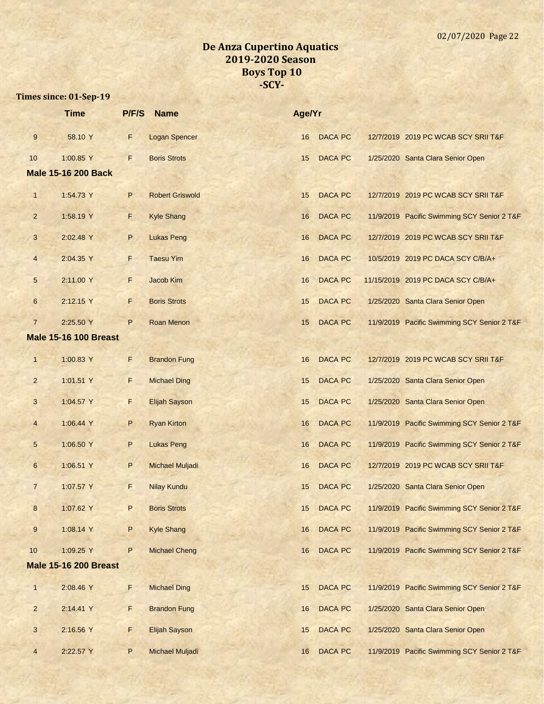|                         | <b>Time</b>                  | P/F/S | <b>Name</b>            | Age/Yr |                |                                             |
|-------------------------|------------------------------|-------|------------------------|--------|----------------|---------------------------------------------|
| $\boldsymbol{9}$        | 58.10 Y                      | F     | <b>Logan Spencer</b>   | 16     | <b>DACA PC</b> | 12/7/2019 2019 PC WCAB SCY SRII T&F         |
| 10                      | 1:00.85 Y                    | F     | <b>Boris Strots</b>    | 15     | <b>DACA PC</b> | 1/25/2020 Santa Clara Senior Open           |
|                         | <b>Male 15-16 200 Back</b>   |       |                        |        |                |                                             |
| $\mathbf{1}$            | 1:54.73 Y                    | P     | <b>Robert Griswold</b> | 15     | <b>DACA PC</b> | 12/7/2019 2019 PC WCAB SCY SRII T&F         |
| $\overline{2}$          | 1:58.19 Y                    | F     | <b>Kyle Shang</b>      | 16     | <b>DACA PC</b> | 11/9/2019 Pacific Swimming SCY Senior 2 T&F |
| 3                       | 2:02.48 Y                    | P     | <b>Lukas Peng</b>      | 16     | <b>DACA PC</b> | 12/7/2019 2019 PC WCAB SCY SRII T&F         |
| $\overline{\mathbf{4}}$ | 2:04.35 Y                    | F     | <b>Taesu Yim</b>       | 16     | <b>DACA PC</b> | 10/5/2019 2019 PC DACA SCY C/B/A+           |
| 5                       | 2:11.00 Y                    | F     | Jacob Kim              | 16     | <b>DACA PC</b> | 11/15/2019 2019 PC DACA SCY C/B/A+          |
| $\boldsymbol{6}$        | 2:12.15 Y                    | F     | <b>Boris Strots</b>    | 15     | <b>DACA PC</b> | 1/25/2020 Santa Clara Senior Open           |
| $\overline{7}$          | 2:25.50 Y                    | P     | <b>Roan Menon</b>      | 15     | <b>DACA PC</b> | 11/9/2019 Pacific Swimming SCY Senior 2 T&F |
|                         | <b>Male 15-16 100 Breast</b> |       |                        |        |                |                                             |
| $\mathbf{1}$            | 1:00.83 Y                    | F     | <b>Brandon Fung</b>    | 16     | <b>DACA PC</b> | 12/7/2019 2019 PC WCAB SCY SRII T&F         |
| $\overline{c}$          | 1:01.51 Y                    | F     | <b>Michael Ding</b>    | 15     | <b>DACA PC</b> | 1/25/2020 Santa Clara Senior Open           |
| 3                       | 1:04.57 Y                    | F     | <b>Elijah Sayson</b>   | 15     | <b>DACA PC</b> | 1/25/2020 Santa Clara Senior Open           |
| $\overline{\mathbf{4}}$ | 1:06.44 Y                    | P     | <b>Ryan Kirton</b>     | 16     | <b>DACA PC</b> | 11/9/2019 Pacific Swimming SCY Senior 2 T&F |
| 5                       | 1:06.50 Y                    | P     | <b>Lukas Peng</b>      | 16     | <b>DACA PC</b> | 11/9/2019 Pacific Swimming SCY Senior 2 T&F |
| 6                       | 1:06.51 Y                    | P     | <b>Michael Muljadi</b> | 16     | <b>DACA PC</b> | 12/7/2019 2019 PC WCAB SCY SRII T&F         |
| $\overline{7}$          | 1:07.57 Y                    | F     | <b>Nilay Kundu</b>     | 15     | <b>DACA PC</b> | 1/25/2020 Santa Clara Senior Open           |
| 8                       | 1:07.62 Y                    | P     | <b>Boris Strots</b>    | 15     | DACA PC        | 11/9/2019 Pacific Swimming SCY Senior 2 T&F |
| $\boldsymbol{9}$        | 1:08.14 Y                    | P     | <b>Kyle Shang</b>      | 16     | <b>DACA PC</b> | 11/9/2019 Pacific Swimming SCY Senior 2 T&F |
| 10                      | 1:09.25 Y                    | P     | <b>Michael Cheng</b>   | 16     | <b>DACA PC</b> | 11/9/2019 Pacific Swimming SCY Senior 2 T&F |
|                         | <b>Male 15-16 200 Breast</b> |       |                        |        |                |                                             |
| $\mathbf{1}$            | 2:08.46 Y                    | F     | <b>Michael Ding</b>    | 15     | <b>DACA PC</b> | 11/9/2019 Pacific Swimming SCY Senior 2 T&F |
| $\overline{a}$          | 2:14.41 Y                    | F     | <b>Brandon Fung</b>    | 16     | DACA PC        | 1/25/2020 Santa Clara Senior Open           |
| $\mathbf{3}$            | 2:16.56 Y                    | F     | <b>Elijah Sayson</b>   | 15     | DACA PC        | 1/25/2020 Santa Clara Senior Open           |
| $\overline{4}$          | 2:22.57 Y                    | P     | Michael Muljadi        | 16     | DACA PC        | 11/9/2019 Pacific Swimming SCY Senior 2 T&F |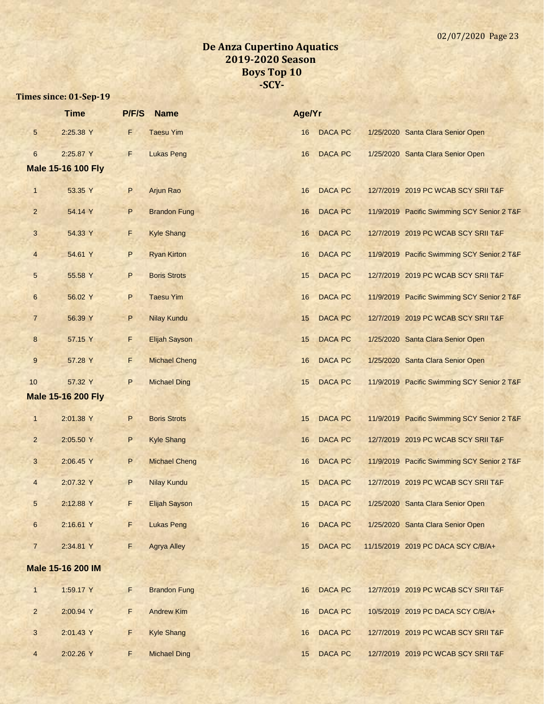|                 | <b>Time</b>               | P/F/S | <b>Name</b>          | Age/Yr |                |                                             |
|-----------------|---------------------------|-------|----------------------|--------|----------------|---------------------------------------------|
| $\sqrt{5}$      | 2:25.38 Y                 | F     | <b>Taesu Yim</b>     | 16     | <b>DACA PC</b> | 1/25/2020 Santa Clara Senior Open           |
| $\sqrt{6}$      | 2:25.87 Y                 | F     | <b>Lukas Peng</b>    | 16     | DACA PC        | 1/25/2020 Santa Clara Senior Open           |
|                 | <b>Male 15-16 100 Fly</b> |       |                      |        |                |                                             |
| $\mathbf{1}$    | 53.35 Y                   | P     | Arjun Rao            | 16     | <b>DACA PC</b> | 12/7/2019 2019 PC WCAB SCY SRII T&F         |
| $\overline{2}$  | 54.14 Y                   | P     | <b>Brandon Fung</b>  | 16     | <b>DACA PC</b> | 11/9/2019 Pacific Swimming SCY Senior 2 T&F |
| $\mathbf{3}$    | 54.33 Y                   | F     | <b>Kyle Shang</b>    | 16     | <b>DACA PC</b> | 12/7/2019 2019 PC WCAB SCY SRII T&F         |
| $\overline{4}$  | 54.61 Y                   | P     | <b>Ryan Kirton</b>   | 16     | <b>DACA PC</b> | 11/9/2019 Pacific Swimming SCY Senior 2 T&F |
| 5               | 55.58 Y                   | P     | <b>Boris Strots</b>  | 15     | <b>DACA PC</b> | 12/7/2019 2019 PC WCAB SCY SRII T&F         |
| $6\phantom{1}6$ | 56.02 Y                   | P     | <b>Taesu Yim</b>     | 16     | <b>DACA PC</b> | 11/9/2019 Pacific Swimming SCY Senior 2 T&F |
| $\overline{7}$  | 56.39 Y                   | P     | <b>Nilay Kundu</b>   | 15     | <b>DACA PC</b> | 12/7/2019 2019 PC WCAB SCY SRII T&F         |
| $\bf 8$         | 57.15 Y                   | F     | <b>Elijah Sayson</b> | 15     | <b>DACA PC</b> | 1/25/2020 Santa Clara Senior Open           |
| $\overline{9}$  | 57.28 Y                   | F     | <b>Michael Cheng</b> | 16     | DACA PC        | 1/25/2020 Santa Clara Senior Open           |
| $10$            | 57.32 Y                   | P     | <b>Michael Ding</b>  | 15     | <b>DACA PC</b> | 11/9/2019 Pacific Swimming SCY Senior 2 T&F |
|                 | <b>Male 15-16 200 Fly</b> |       |                      |        |                |                                             |
| $\mathbf{1}$    | 2:01.38 Y                 | P     | <b>Boris Strots</b>  | 15     | <b>DACA PC</b> | 11/9/2019 Pacific Swimming SCY Senior 2 T&F |
| $\overline{2}$  | 2:05.50 Y                 | P     | <b>Kyle Shang</b>    | 16     | <b>DACA PC</b> | 12/7/2019 2019 PC WCAB SCY SRII T&F         |
| $\mathbf{3}$    | 2:06.45 Y                 | P     | <b>Michael Cheng</b> | 16     | <b>DACA PC</b> | 11/9/2019 Pacific Swimming SCY Senior 2 T&F |
| $\overline{4}$  | 2:07.32 Y                 | P     | <b>Nilay Kundu</b>   | 15     | <b>DACA PC</b> | 12/7/2019 2019 PC WCAB SCY SRII T&F         |
| 5               | 2:12.88 Y                 | F     | <b>Elijah Sayson</b> | 15     | DACA PC        | 1/25/2020 Santa Clara Senior Open           |
| $6\phantom{1}6$ | 2:16.61 Y                 | F     | <b>Lukas Peng</b>    | 16     | <b>DACA PC</b> | 1/25/2020 Santa Clara Senior Open           |
| $\overline{7}$  | 2:34.81 Y                 | F     | <b>Agrya Alley</b>   | 15     | DACA PC        | 11/15/2019 2019 PC DACA SCY C/B/A+          |
|                 | Male 15-16 200 IM         |       |                      |        |                |                                             |
| $\mathbf{1}$    | 1:59.17 Y                 | F     | <b>Brandon Fung</b>  | 16     | DACA PC        | 12/7/2019 2019 PC WCAB SCY SRII T&F         |
| $\overline{2}$  | 2:00.94 Y                 | F     | <b>Andrew Kim</b>    | 16     | <b>DACA PC</b> | 10/5/2019 2019 PC DACA SCY C/B/A+           |
| 3               | 2:01.43 Y                 | F     | <b>Kyle Shang</b>    | 16     | DACA PC        | 12/7/2019 2019 PC WCAB SCY SRII T&F         |
| $\overline{4}$  | 2:02.26 Y                 | F.    | <b>Michael Ding</b>  | 15     | <b>DACA PC</b> | 12/7/2019 2019 PC WCAB SCY SRII T&F         |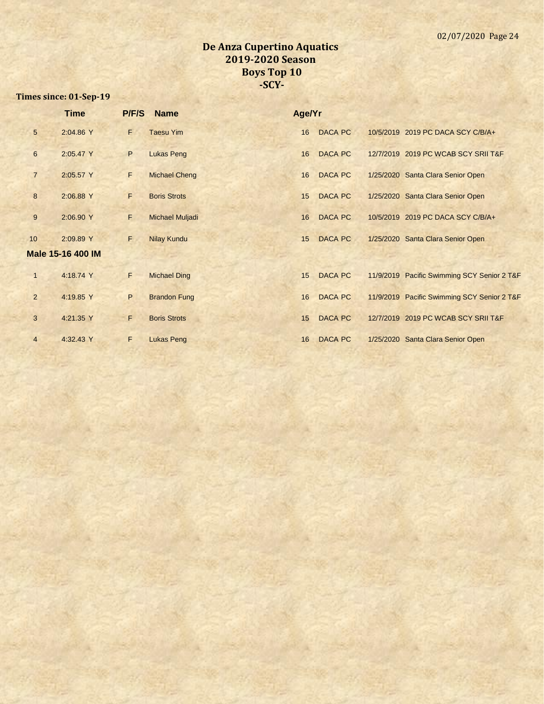|                | <b>Time</b>              |    | P/F/S Name             | Age/Yr |                |                                             |
|----------------|--------------------------|----|------------------------|--------|----------------|---------------------------------------------|
| 5              | 2:04.86 Y                | F  | <b>Taesu Yim</b>       | 16     | DACA PC        | 10/5/2019 2019 PC DACA SCY C/B/A+           |
| $6\phantom{1}$ | 2:05.47 Y                | P  | <b>Lukas Peng</b>      | 16     | <b>DACA PC</b> | 12/7/2019 2019 PC WCAB SCY SRII T&F         |
| $\overline{7}$ | 2:05.57 Y                | F  | <b>Michael Cheng</b>   | 16     | <b>DACA PC</b> | 1/25/2020 Santa Clara Senior Open           |
| 8              | 2:06.88 Y                | F  | <b>Boris Strots</b>    | 15     | DACA PC        | 1/25/2020 Santa Clara Senior Open           |
| 9              | 2:06.90 Y                | F  | <b>Michael Muljadi</b> | 16     | <b>DACA PC</b> | 10/5/2019 2019 PC DACA SCY C/B/A+           |
| 10             | 2:09.89 Y                | F. | <b>Nilay Kundu</b>     | 15     | <b>DACA PC</b> | 1/25/2020 Santa Clara Senior Open           |
|                | <b>Male 15-16 400 IM</b> |    |                        |        |                |                                             |
| $\mathbf{1}$   | 4:18.74 Y                | F  | <b>Michael Ding</b>    | 15     | <b>DACA PC</b> | 11/9/2019 Pacific Swimming SCY Senior 2 T&F |
| $\overline{2}$ | 4:19.85 Y                | P  | <b>Brandon Fung</b>    | 16     | <b>DACA PC</b> | 11/9/2019 Pacific Swimming SCY Senior 2 T&F |
| 3              | 4:21.35 Y                | F  | <b>Boris Strots</b>    | 15     | <b>DACA PC</b> | 12/7/2019 2019 PC WCAB SCY SRII T&F         |
| $\overline{4}$ | 4:32.43 Y                | F  | <b>Lukas Peng</b>      | 16     | DACA PC        | 1/25/2020 Santa Clara Senior Open           |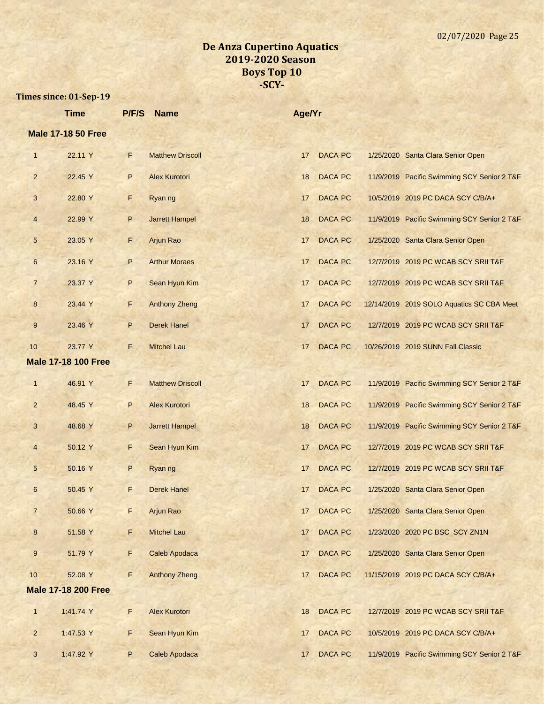|                           | <b>Time</b>                | P/F/S        | <b>Name</b>             | Age/Yr |                |  |                                             |
|---------------------------|----------------------------|--------------|-------------------------|--------|----------------|--|---------------------------------------------|
| <b>Male 17-18 50 Free</b> |                            |              |                         |        |                |  |                                             |
| $\mathbf{1}$              | 22.11 Y                    | F            | <b>Matthew Driscoll</b> | 17     | <b>DACA PC</b> |  | 1/25/2020 Santa Clara Senior Open           |
| $\overline{2}$            | 22.45 Y                    | P            | <b>Alex Kurotori</b>    | 18     | <b>DACA PC</b> |  | 11/9/2019 Pacific Swimming SCY Senior 2 T&F |
| 3                         | 22.80 Y                    | F            | Ryan ng                 | 17     | <b>DACA PC</b> |  | 10/5/2019 2019 PC DACA SCY C/B/A+           |
| 4                         | 22.99 Y                    | P            | <b>Jarrett Hampel</b>   | 18     | <b>DACA PC</b> |  | 11/9/2019 Pacific Swimming SCY Senior 2 T&F |
| 5                         | 23.05 Y                    | F            | Arjun Rao               | 17     | <b>DACA PC</b> |  | 1/25/2020 Santa Clara Senior Open           |
| $6\phantom{a}$            | 23.16 Y                    | $\mathsf{P}$ | <b>Arthur Moraes</b>    | 17     | <b>DACA PC</b> |  | 12/7/2019 2019 PC WCAB SCY SRII T&F         |
| $\overline{7}$            | 23.37 Y                    | P            | Sean Hyun Kim           | 17     | <b>DACA PC</b> |  | 12/7/2019 2019 PC WCAB SCY SRII T&F         |
| $\bf 8$                   | 23.44 Y                    | F            | <b>Anthony Zheng</b>    | 17     | <b>DACA PC</b> |  | 12/14/2019 2019 SOLO Aquatics SC CBA Meet   |
| 9                         | 23.46 Y                    | P            | <b>Derek Hanel</b>      | 17     | <b>DACA PC</b> |  | 12/7/2019 2019 PC WCAB SCY SRII T&F         |
| 10                        | 23.77 Y                    | F.           | <b>Mitchel Lau</b>      | 17     | <b>DACA PC</b> |  | 10/26/2019 2019 SUNN Fall Classic           |
|                           | <b>Male 17-18 100 Free</b> |              |                         |        |                |  |                                             |
| $\mathbf{1}$              | 46.91 Y                    | F            | <b>Matthew Driscoll</b> | 17     | <b>DACA PC</b> |  | 11/9/2019 Pacific Swimming SCY Senior 2 T&F |
| $\overline{2}$            | 48.45 Y                    | P            | <b>Alex Kurotori</b>    | 18     | <b>DACA PC</b> |  | 11/9/2019 Pacific Swimming SCY Senior 2 T&F |
| 3                         | 48.68 Y                    | P            | <b>Jarrett Hampel</b>   | 18     | <b>DACA PC</b> |  | 11/9/2019 Pacific Swimming SCY Senior 2 T&F |
| $\overline{4}$            | 50.12 Y                    | F            | Sean Hyun Kim           | 17     | <b>DACA PC</b> |  | 12/7/2019 2019 PC WCAB SCY SRII T&F         |
| 5                         | 50.16 Y                    | P            | Ryan ng                 | 17     | <b>DACA PC</b> |  | 12/7/2019 2019 PC WCAB SCY SRII T&F         |
| $6\phantom{.}$            | 50.45 Y                    | F            | <b>Derek Hanel</b>      | 17     | <b>DACA PC</b> |  | 1/25/2020 Santa Clara Senior Open           |
| $\overline{7}$            | 50.66 Y                    | F            | <b>Arjun Rao</b>        | 17     | <b>DACA PC</b> |  | 1/25/2020 Santa Clara Senior Open           |
| 8                         | 51.58 Y                    | F            | <b>Mitchel Lau</b>      | 17     | <b>DACA PC</b> |  | 1/23/2020 2020 PC BSC SCY ZN1N              |
| 9                         | 51.79 Y                    | F            | <b>Caleb Apodaca</b>    | 17     | DACA PC        |  | 1/25/2020 Santa Clara Senior Open           |
| 10                        | 52.08 Y                    | F            | <b>Anthony Zheng</b>    | 17     | <b>DACA PC</b> |  | 11/15/2019 2019 PC DACA SCY C/B/A+          |
|                           | <b>Male 17-18 200 Free</b> |              |                         |        |                |  |                                             |
| $\mathbf{1}$              | 1:41.74 Y                  | $\mathsf F$  | <b>Alex Kurotori</b>    | 18     | <b>DACA PC</b> |  | 12/7/2019 2019 PC WCAB SCY SRII T&F         |
| $\overline{2}$            | 1:47.53 Y                  | F            | Sean Hyun Kim           | 17     | <b>DACA PC</b> |  | 10/5/2019 2019 PC DACA SCY C/B/A+           |
| $\mathbf{3}$              | 1:47.92 Y                  | P            | Caleb Apodaca           | 17     | DACA PC        |  | 11/9/2019 Pacific Swimming SCY Senior 2 T&F |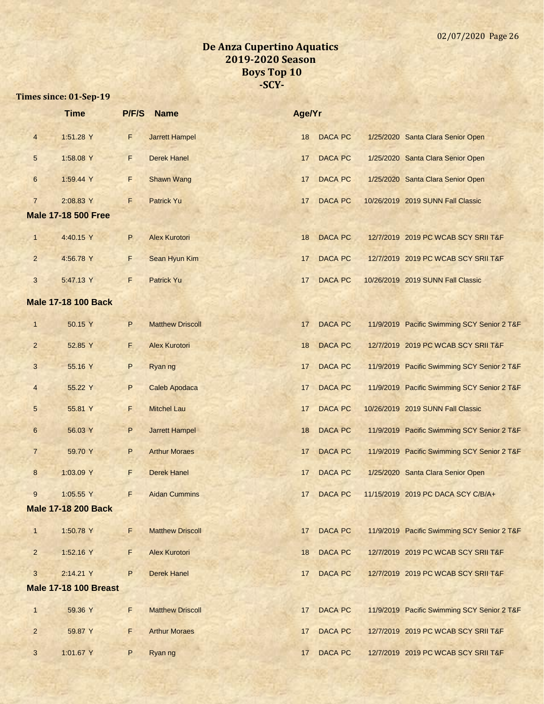|                         | <b>Time</b>                  | P/F/S        | <b>Name</b>             | Age/Yr |                |                                             |
|-------------------------|------------------------------|--------------|-------------------------|--------|----------------|---------------------------------------------|
| $\overline{4}$          | 1:51.28 Y                    | F            | <b>Jarrett Hampel</b>   | 18     | <b>DACA PC</b> | 1/25/2020 Santa Clara Senior Open           |
| 5                       | 1:58.08 Y                    | F.           | <b>Derek Hanel</b>      | 17     | <b>DACA PC</b> | 1/25/2020 Santa Clara Senior Open           |
| 6                       | 1:59.44 Y                    | F            | <b>Shawn Wang</b>       | 17     | <b>DACA PC</b> | 1/25/2020 Santa Clara Senior Open           |
| $\overline{7}$          | 2:08.83 Y                    | F            | <b>Patrick Yu</b>       | 17     | <b>DACA PC</b> | 10/26/2019 2019 SUNN Fall Classic           |
|                         | <b>Male 17-18 500 Free</b>   |              |                         |        |                |                                             |
| $\mathbf{1}$            | 4:40.15 Y                    | P            | <b>Alex Kurotori</b>    | 18     | <b>DACA PC</b> | 12/7/2019 2019 PC WCAB SCY SRII T&F         |
| $\overline{2}$          | 4:56.78 Y                    | F.           | Sean Hyun Kim           | 17     | <b>DACA PC</b> | 12/7/2019 2019 PC WCAB SCY SRII T&F         |
| 3                       | 5:47.13 Y                    | F            | Patrick Yu              | 17     | <b>DACA PC</b> | 10/26/2019 2019 SUNN Fall Classic           |
|                         | <b>Male 17-18 100 Back</b>   |              |                         |        |                |                                             |
| $\mathbf{1}$            | 50.15 Y                      | P            | <b>Matthew Driscoll</b> | 17     | <b>DACA PC</b> | 11/9/2019 Pacific Swimming SCY Senior 2 T&F |
| $\overline{2}$          | 52.85 Y                      | E.           | <b>Alex Kurotori</b>    | 18     | <b>DACA PC</b> | 12/7/2019 2019 PC WCAB SCY SRII T&F         |
| 3                       | 55.16 Y                      | $\mathsf{P}$ | Ryan ng                 | 17     | <b>DACA PC</b> | 11/9/2019 Pacific Swimming SCY Senior 2 T&F |
| $\overline{\mathbf{4}}$ | 55.22 Y                      | P            | <b>Caleb Apodaca</b>    | 17     | <b>DACA PC</b> | 11/9/2019 Pacific Swimming SCY Senior 2 T&F |
| 5                       | 55.81 Y                      | F.           | <b>Mitchel Lau</b>      | 17     | <b>DACA PC</b> | 10/26/2019 2019 SUNN Fall Classic           |
| 6                       | 56.03 Y                      | P            | <b>Jarrett Hampel</b>   | 18     | <b>DACA PC</b> | 11/9/2019 Pacific Swimming SCY Senior 2 T&F |
| $\overline{7}$          | 59.70 Y                      | P            | <b>Arthur Moraes</b>    | 17     | <b>DACA PC</b> | 11/9/2019 Pacific Swimming SCY Senior 2 T&F |
| $\boldsymbol{8}$        | 1:03.09 Y                    | F            | <b>Derek Hanel</b>      | 17     | <b>DACA PC</b> | 1/25/2020 Santa Clara Senior Open           |
| 9                       | 1:05.55 Y                    | F            | <b>Aidan Cummins</b>    | 17     | DACA PC        | 11/15/2019 2019 PC DACA SCY C/B/A+          |
|                         | <b>Male 17-18 200 Back</b>   |              |                         |        |                |                                             |
| $\mathbf{1}$            | 1:50.78 Y                    | F            | <b>Matthew Driscoll</b> | 17     | <b>DACA PC</b> | 11/9/2019 Pacific Swimming SCY Senior 2 T&F |
| $\overline{2}$          | 1:52.16 Y                    | F            | <b>Alex Kurotori</b>    | 18     | <b>DACA PC</b> | 12/7/2019 2019 PC WCAB SCY SRII T&F         |
| 3                       | 2:14.21 Y                    | P            | <b>Derek Hanel</b>      | 17     | <b>DACA PC</b> | 12/7/2019 2019 PC WCAB SCY SRII T&F         |
|                         | <b>Male 17-18 100 Breast</b> |              |                         |        |                |                                             |
| $\mathbf{1}$            | 59.36 Y                      | F.           | <b>Matthew Driscoll</b> | 17     | <b>DACA PC</b> | 11/9/2019 Pacific Swimming SCY Senior 2 T&F |
| $\overline{2}$          | 59.87 Y                      | F.           | <b>Arthur Moraes</b>    | 17     | <b>DACA PC</b> | 12/7/2019 2019 PC WCAB SCY SRII T&F         |
| 3                       | 1:01.67 Y                    | P            | Ryan ng                 | 17     | <b>DACA PC</b> | 12/7/2019 2019 PC WCAB SCY SRII T&F         |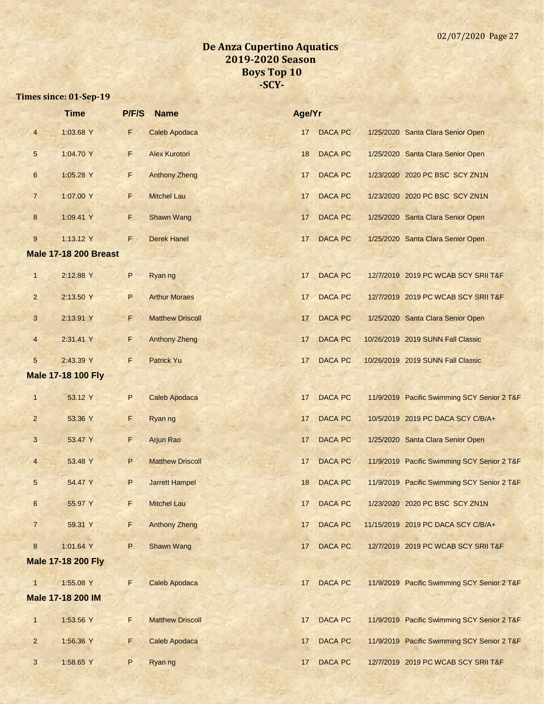|                         | <b>Time</b>                  | P/F/S        | <b>Name</b>             | Age/Yr |                |                                             |
|-------------------------|------------------------------|--------------|-------------------------|--------|----------------|---------------------------------------------|
| $\overline{\mathbf{4}}$ | 1:03.68 Y                    | F            | <b>Caleb Apodaca</b>    | 17     | <b>DACA PC</b> | 1/25/2020 Santa Clara Senior Open           |
| $\sqrt{5}$              | 1:04.70 Y                    | F            | <b>Alex Kurotori</b>    | 18     | <b>DACA PC</b> | 1/25/2020 Santa Clara Senior Open           |
| $\boldsymbol{6}$        | 1:05.28 Y                    | F            | <b>Anthony Zheng</b>    | 17     | <b>DACA PC</b> | 1/23/2020 2020 PC BSC SCY ZN1N              |
| $\overline{7}$          | 1:07.00 Y                    | F            | <b>Mitchel Lau</b>      | 17     | <b>DACA PC</b> | 1/23/2020 2020 PC BSC SCY ZN1N              |
| 8                       | 1:09.41 Y                    | F.           | <b>Shawn Wang</b>       | 17     | <b>DACA PC</b> | 1/25/2020 Santa Clara Senior Open           |
| 9                       | 1:13.12 Y                    | F.           | <b>Derek Hanel</b>      | 17     | <b>DACA PC</b> | 1/25/2020 Santa Clara Senior Open           |
|                         | <b>Male 17-18 200 Breast</b> |              |                         |        |                |                                             |
| $\mathbf{1}$            | 2:12.88 Y                    | $\sf P$      | Ryan ng                 | 17     | <b>DACA PC</b> | 12/7/2019 2019 PC WCAB SCY SRII T&F         |
| $\overline{2}$          | 2:13.50 Y                    | P            | <b>Arthur Moraes</b>    | 17     | <b>DACA PC</b> | 12/7/2019 2019 PC WCAB SCY SRII T&F         |
| 3                       | 2:13.91 Y                    | F.           | <b>Matthew Driscoll</b> | 17     | <b>DACA PC</b> | 1/25/2020 Santa Clara Senior Open           |
| $\overline{4}$          | 2:31.41 Y                    | F            | <b>Anthony Zheng</b>    | 17     | <b>DACA PC</b> | 10/26/2019 2019 SUNN Fall Classic           |
| 5                       | 2:43.39 Y                    | F            | <b>Patrick Yu</b>       | 17     | <b>DACA PC</b> | 10/26/2019 2019 SUNN Fall Classic           |
|                         | <b>Male 17-18 100 Fly</b>    |              |                         |        |                |                                             |
| $\mathbf{1}$            | 53.12 Y                      | P            | Caleb Apodaca           | 17     | <b>DACA PC</b> | 11/9/2019 Pacific Swimming SCY Senior 2 T&F |
| $\overline{c}$          | 53.36 Y                      | F            | Ryan ng                 | 17     | <b>DACA PC</b> | 10/5/2019 2019 PC DACA SCY C/B/A+           |
| 3                       | 53.47 Y                      | F            | Arjun Rao               | 17     | <b>DACA PC</b> | 1/25/2020 Santa Clara Senior Open           |
| $\overline{\mathbf{4}}$ | 53.48 Y                      | $\sf P$      | <b>Matthew Driscoll</b> | 17     | <b>DACA PC</b> | 11/9/2019 Pacific Swimming SCY Senior 2 T&F |
| 5                       | 54.47 Y                      | P            | <b>Jarrett Hampel</b>   | 18     | <b>DACA PC</b> | 11/9/2019 Pacific Swimming SCY Senior 2 T&F |
| 6                       | 55.97 Y                      | $\mathbf{P}$ | <b>Mitchel Lau</b>      |        | 17 DACA PC     | 1/23/2020 2020 PC BSC SCY ZN1N              |
| $\overline{7}$          | 59.31 Y                      | F            | <b>Anthony Zheng</b>    | 17     | DACA PC        | 11/15/2019 2019 PC DACA SCY C/B/A+          |
| $\bf 8$                 | 1:01.64 Y                    | P            | <b>Shawn Wang</b>       | 17     | DACA PC        | 12/7/2019 2019 PC WCAB SCY SRII T&F         |
|                         | <b>Male 17-18 200 Fly</b>    |              |                         |        |                |                                             |
| $\mathbf{1}$            | 1:55.08 Y                    | F            | <b>Caleb Apodaca</b>    | 17     | <b>DACA PC</b> | 11/9/2019 Pacific Swimming SCY Senior 2 T&F |
|                         | Male 17-18 200 IM            |              |                         |        |                |                                             |
| $\mathbf{1}$            | 1:53.56 Y                    | F.           | <b>Matthew Driscoll</b> | 17     | <b>DACA PC</b> | 11/9/2019 Pacific Swimming SCY Senior 2 T&F |
| $\overline{2}$          | 1:56.36 Y                    | F            | <b>Caleb Apodaca</b>    | 17     | DACA PC        | 11/9/2019 Pacific Swimming SCY Senior 2 T&F |
| $\mathbf{3}$            | 1:58.65 Y                    | P            | Ryan ng                 | 17     | <b>DACA PC</b> | 12/7/2019 2019 PC WCAB SCY SRII T&F         |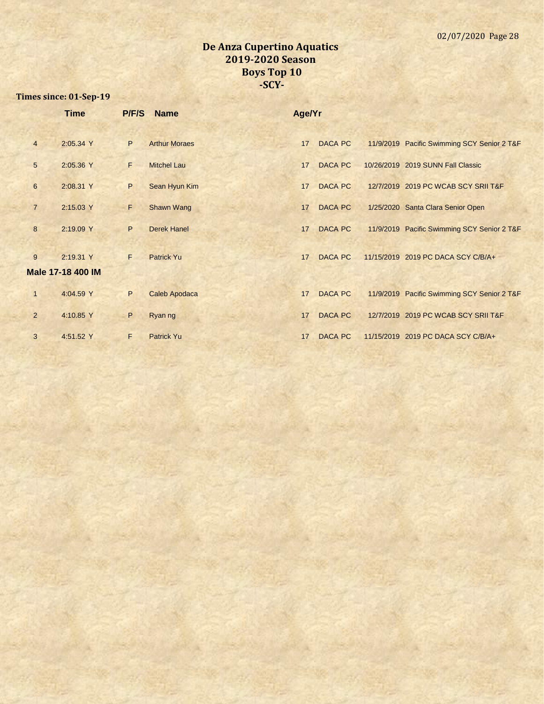|                 | <b>Time</b>              | P/F/S        | <b>Name</b>          | Age/Yr |                |                                             |
|-----------------|--------------------------|--------------|----------------------|--------|----------------|---------------------------------------------|
|                 |                          |              |                      |        |                |                                             |
| $\overline{4}$  | 2:05.34 Y                | P            | <b>Arthur Moraes</b> | 17     | <b>DACA PC</b> | 11/9/2019 Pacific Swimming SCY Senior 2 T&F |
| $5\phantom{.0}$ | 2:05.36 Y                | F            | <b>Mitchel Lau</b>   | 17     | <b>DACA PC</b> | 10/26/2019 2019 SUNN Fall Classic           |
| 6               | 2:08.31 Y                | P            | Sean Hyun Kim        | 17     | <b>DACA PC</b> | 12/7/2019 2019 PC WCAB SCY SRII T&F         |
| $\overline{7}$  | 2:15.03 Y                | F.           | <b>Shawn Wang</b>    | 17     | <b>DACA PC</b> | 1/25/2020 Santa Clara Senior Open           |
| 8               | 2:19.09 Y                | $\mathsf{P}$ | <b>Derek Hanel</b>   | 17     | DACA PC        | 11/9/2019 Pacific Swimming SCY Senior 2 T&F |
| 9               | 2:19.31 Y                | F.           | <b>Patrick Yu</b>    | 17     | <b>DACA PC</b> | 11/15/2019 2019 PC DACA SCY C/B/A+          |
|                 | <b>Male 17-18 400 IM</b> |              |                      |        |                |                                             |
| $\mathbf{1}$    | 4:04.59 Y                | P            | <b>Caleb Apodaca</b> | 17     | <b>DACA PC</b> | 11/9/2019 Pacific Swimming SCY Senior 2 T&F |
| $\overline{2}$  | 4:10.85 Y                | P            | Ryan ng              | 17     | <b>DACA PC</b> | 12/7/2019 2019 PC WCAB SCY SRII T&F         |
| 3               | 4:51.52 Y                | F            | <b>Patrick Yu</b>    | 17     | DACA PC        | 11/15/2019 2019 PC DACA SCY C/B/A+          |